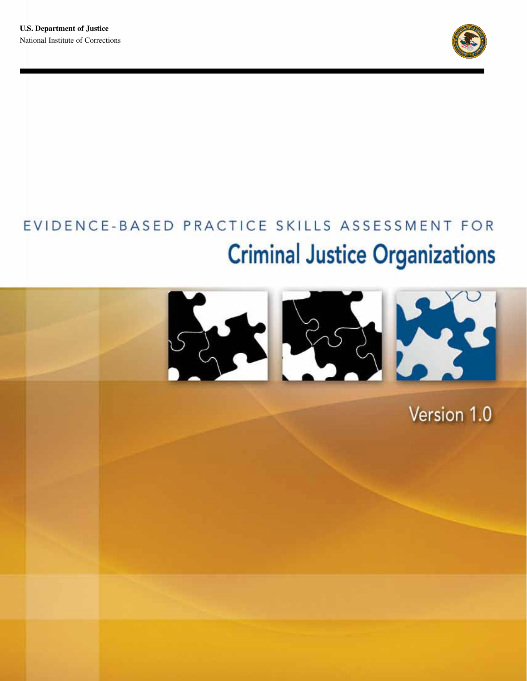

# EVIDENCE-BASED PRACTICE SKILLS ASSESSMENT FOR **Criminal Justice Organizations**



Version 1.0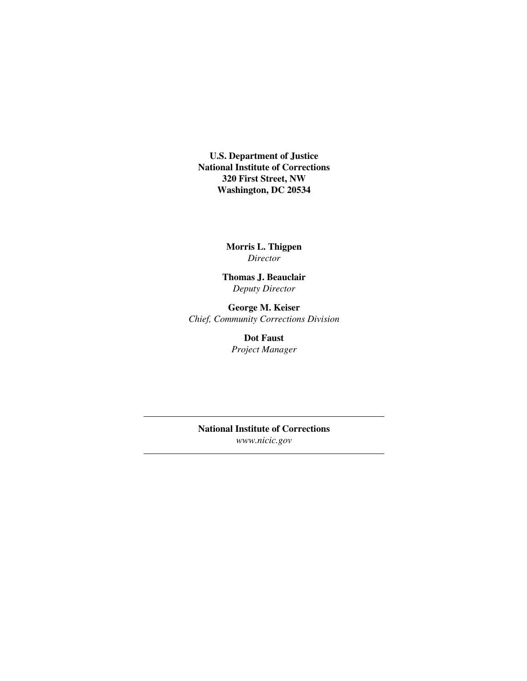**U.S. Department of Justice National Institute of Corrections 320 First Street, NW Washington, DC 20534** 

> **Morris L. Thigpen**  *Director*

**Thomas J. Beauclair**  *Deputy Director* 

**George M. Keiser**  *Chief, Community Corrections Division* 

> **Dot Faust**  *Project Manager*

**National Institute of Corrections**  *www.nicic.gov*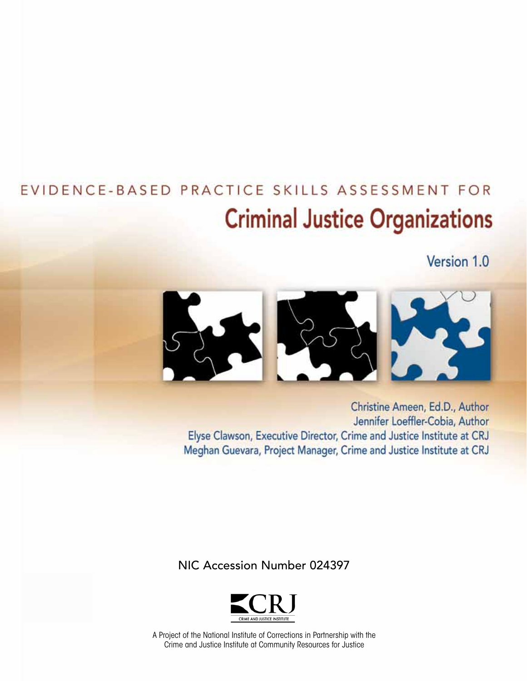## EVIDENCE-BASED PRACTICE SKILLS ASSESSMENT FOR **Criminal Justice Organizations**

Version 1.0



Christine Ameen, Ed.D., Author Jennifer Loeffler-Cobia, Author Elyse Clawson, Executive Director, Crime and Justice Institute at CRJ Meghan Guevara, Project Manager, Crime and Justice Institute at CRJ

NIC Accession Number 024397



A Project of the National Institute of Corrections in Partnership with the Crime and Justice Institute at Community Resources for Justice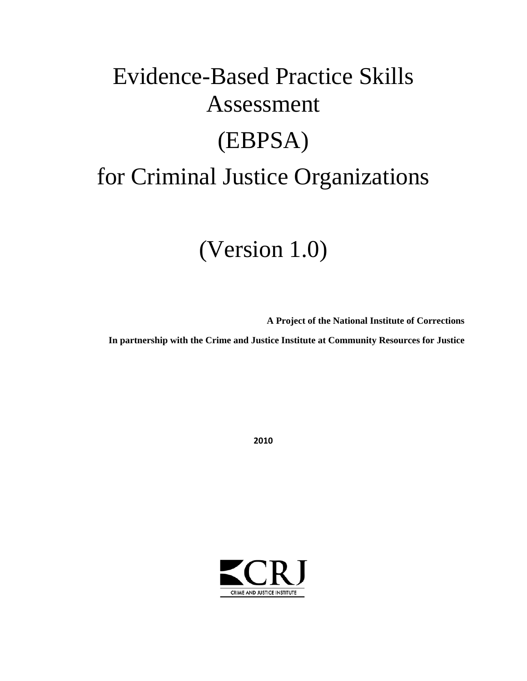# Evidence-Based Practice Skills Assessment (EBPSA) for Criminal Justice Organizations

## (Version 1.0)

**A Project of the National Institute of Corrections** 

**In partnership with the Crime and Justice Institute at Community Resources for Justice** 

**2010**

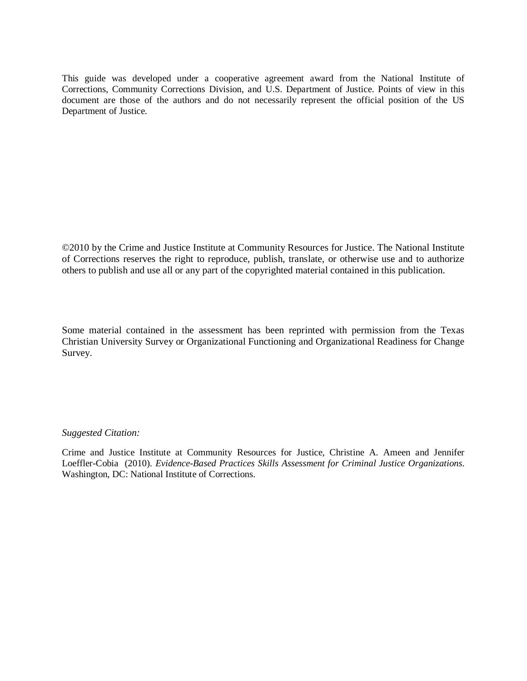This guide was developed under a cooperative agreement award from the National Institute of Corrections, Community Corrections Division, and U.S. Department of Justice. Points of view in this document are those of the authors and do not necessarily represent the official position of the US Department of Justice.

 ©2010 by the Crime and Justice Institute at Community Resources for Justice. The National Institute others to publish and use all or any part of the copyrighted material contained in this publication. of Corrections reserves the right to reproduce, publish, translate, or otherwise use and to authorize

 Some material contained in the assessment has been reprinted with permission from the Texas Christian University Survey or Organizational Functioning and Organizational Readiness for Change Survey.

#### *Suggested Citation:*

Crime and Justice Institute at Community Resources for Justice, Christine A. Ameen and Jennifer Loeffler-Cobia (2010). *Evidence-Based Practices Skills Assessment for Criminal Justice Organizations*. Washington, DC: National Institute of Corrections.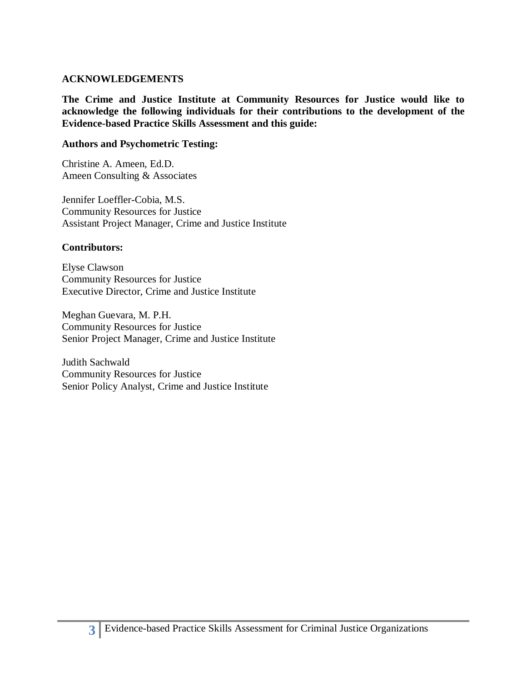#### **ACKNOWLEDGEMENTS**

 **The Crime and Justice Institute at Community Resources for Justice would like to Evidence-based Practice Skills Assessment and this guide: acknowledge the following individuals for their contributions to the development of the** 

#### **Authors and Psychometric Testing:**

Christine A. Ameen, Ed.D. Ameen Consulting & Associates

Jennifer Loeffler-Cobia, M.S. Community Resources for Justice Assistant Project Manager, Crime and Justice Institute

### **Contributors:**

Elyse Clawson Community Resources for Justice Executive Director, Crime and Justice Institute

Meghan Guevara, M. P.H. Community Resources for Justice Senior Project Manager, Crime and Justice Institute

Judith Sachwald Community Resources for Justice Senior Policy Analyst, Crime and Justice Institute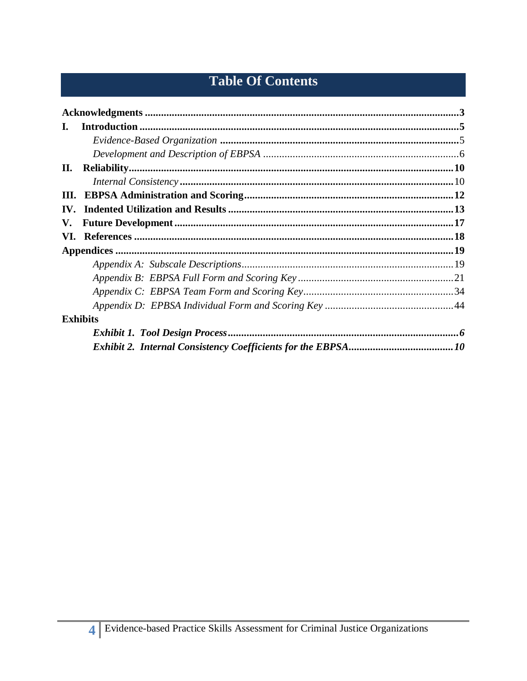## **Table Of Contents**

| L.  |                                                                                                                                                                                                                                                                                                                                                                                                                                                                                                    |  |
|-----|----------------------------------------------------------------------------------------------------------------------------------------------------------------------------------------------------------------------------------------------------------------------------------------------------------------------------------------------------------------------------------------------------------------------------------------------------------------------------------------------------|--|
|     |                                                                                                                                                                                                                                                                                                                                                                                                                                                                                                    |  |
|     |                                                                                                                                                                                                                                                                                                                                                                                                                                                                                                    |  |
| П.  | $\label{eq:reli} \textbf{Reliability}.\textcolor{red}{\textbf{}}\textcolor{red}{\textbf{}}\textcolor{red}{\textbf{}}\textcolor{red}{\textbf{}}\textcolor{red}{\textbf{}}\textcolor{red}{\textbf{}}\textcolor{red}{\textbf{}}\textcolor{red}{\textbf{}}\textcolor{red}{\textbf{}}\textcolor{red}{\textbf{}}\textcolor{red}{\textbf{}}\textcolor{red}{\textbf{}}\textcolor{red}{\textbf{}}\textcolor{red}{\textbf{}}\textcolor{red}{\textbf{}}\textcolor{red}{\textbf{}}\textcolor{red}{\textbf{}}\$ |  |
|     | $\emph{Internal Consistency} \textit{} \textit{} \textit{} \textit{} \textit{} \textit{} \textit{} \textit{} \textit{} \textit{} \textit{} \textit{} \textit{} \textit{} \textit{} \textit{} \textit{} \textit{} \textit{} \textit{} \textit{} \textit{} \textit{} \textit{} \textit{} \textit{} \textit{} \textit{} \textit{} \textit{} \textit{} \textit{} \textit{} \textit{} \textit{} \text$                                                                                                  |  |
| Ш.  |                                                                                                                                                                                                                                                                                                                                                                                                                                                                                                    |  |
| IV. |                                                                                                                                                                                                                                                                                                                                                                                                                                                                                                    |  |
| V.  |                                                                                                                                                                                                                                                                                                                                                                                                                                                                                                    |  |
|     |                                                                                                                                                                                                                                                                                                                                                                                                                                                                                                    |  |
|     |                                                                                                                                                                                                                                                                                                                                                                                                                                                                                                    |  |
|     |                                                                                                                                                                                                                                                                                                                                                                                                                                                                                                    |  |
|     |                                                                                                                                                                                                                                                                                                                                                                                                                                                                                                    |  |
|     |                                                                                                                                                                                                                                                                                                                                                                                                                                                                                                    |  |
|     |                                                                                                                                                                                                                                                                                                                                                                                                                                                                                                    |  |
|     |                                                                                                                                                                                                                                                                                                                                                                                                                                                                                                    |  |
|     | <b>Exhibits</b>                                                                                                                                                                                                                                                                                                                                                                                                                                                                                    |  |
|     |                                                                                                                                                                                                                                                                                                                                                                                                                                                                                                    |  |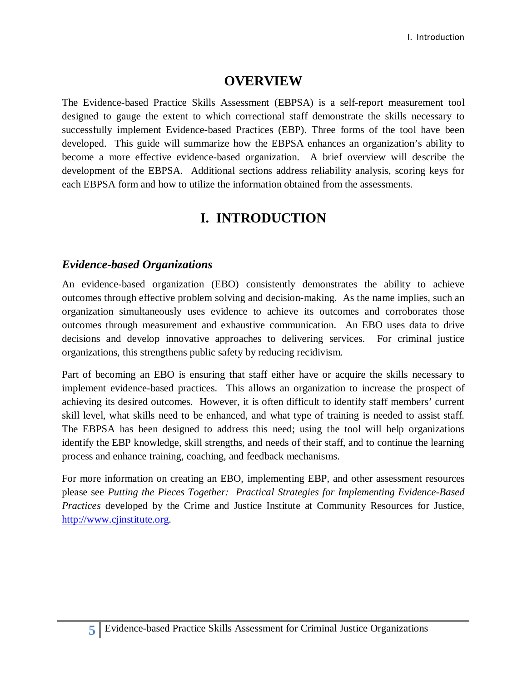## **OVERVIEW**

 successfully implement Evidence-based Practices (EBP). Three forms of the tool have been developed. This guide will summarize how the EBPSA enhances an organization's ability to development of the EBPSA. Additional sections address reliability analysis, scoring keys for The Evidence-based Practice Skills Assessment (EBPSA) is a self-report measurement tool designed to gauge the extent to which correctional staff demonstrate the skills necessary to become a more effective evidence-based organization. A brief overview will describe the each EBPSA form and how to utilize the information obtained from the assessments.

## **I. INTRODUCTION**

### *Evidence-based Organizations*

 An evidence-based organization (EBO) consistently demonstrates the ability to achieve outcomes through effective problem solving and decision-making. As the name implies, such an decisions and develop innovative approaches to delivering services. For criminal justice organizations, this strengthens public safety by reducing recidivism. organization simultaneously uses evidence to achieve its outcomes and corroborates those outcomes through measurement and exhaustive communication. An EBO uses data to drive

 Part of becoming an EBO is ensuring that staff either have or acquire the skills necessary to achieving its desired outcomes. However, it is often difficult to identify staff members' current The EBPSA has been designed to address this need; using the tool will help organizations identify the EBP knowledge, skill strengths, and needs of their staff, and to continue the learning process and enhance training, coaching, and feedback mechanisms. implement evidence-based practices. This allows an organization to increase the prospect of skill level, what skills need to be enhanced, and what type of training is needed to assist staff.

 *Practices* developed by the Crime and Justice Institute at Community Resources for Justice, For more information on creating an EBO, implementing EBP, and other assessment resources please see *Putting the Pieces Together: Practical Strategies for Implementing Evidence-Based*  [http://www.cjinstitute.org.](http://www.cjinstitute.org/)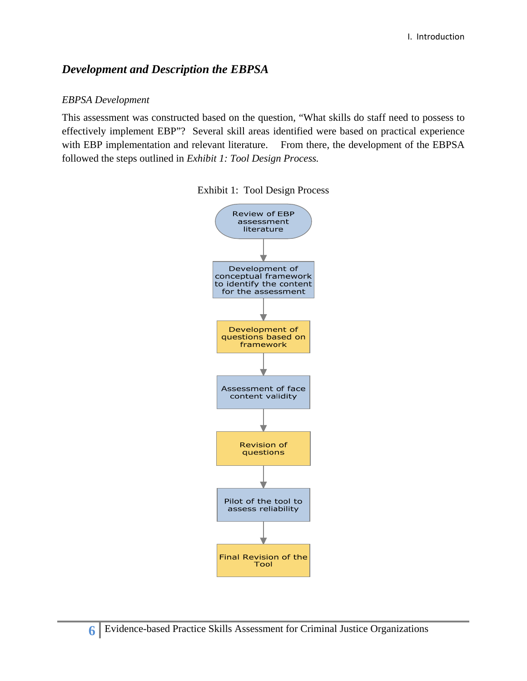## *Development and Description the EBPSA*

### *EBPSA Development*

This assessment was constructed based on the question, "What skills do staff need to possess to effectively implement EBP"? Several skill areas identified were based on practical experience with EBP implementation and relevant literature. From there, the development of the EBPSA followed the steps outlined in *Exhibit 1: Tool Design Process.* 



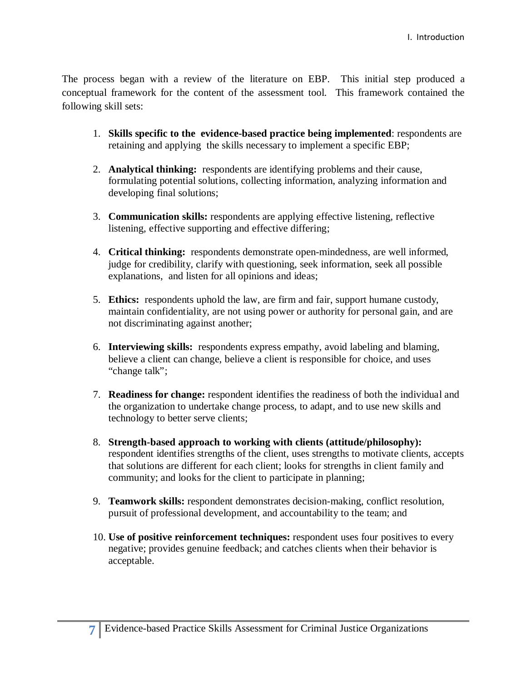The process began with a review of the literature on EBP. This initial step produced a conceptual framework for the content of the assessment tool. This framework contained the following skill sets:

- retaining and applying the skills necessary to implement a specific EBP; 1. **Skills specific to the evidence-based practice being implemented**: respondents are
- developing final solutions; 2. **Analytical thinking:** respondents are identifying problems and their cause, formulating potential solutions, collecting information, analyzing information and
- 3. **Communication skills:** respondents are applying effective listening, reflective listening, effective supporting and effective differing;
- 4. **Critical thinking:** respondents demonstrate open-mindedness, are well informed, explanations, and listen for all opinions and ideas; judge for credibility, clarify with questioning, seek information, seek all possible
- 5. Ethics: respondents uphold the law, are firm and fair, support humane custody, maintain confidentiality, are not using power or authority for personal gain, and are not discriminating against another;
- not discriminating against another;<br>6. **Interviewing skills:** respondents express empathy, avoid labeling and blaming, believe a client can change, believe a client is responsible for choice, and uses "change talk";
- 7. **Readiness for change:** respondent identifies the readiness of both the individual and the organization to undertake change process, to adapt, and to use new skills and technology to better serve clients;
- 8. **Strength-based approach to working with clients (attitude/philosophy):**  community; and looks for the client to participate in planning; respondent identifies strengths of the client, uses strengths to motivate clients, accepts that solutions are different for each client; looks for strengths in client family and
- 9. **Teamwork skills:** respondent demonstrates decision-making, conflict resolution, pursuit of professional development, and accountability to the team; and
- 10. **Use of positive reinforcement techniques:** respondent uses four positives to every negative; provides genuine feedback; and catches clients when their behavior is acceptable.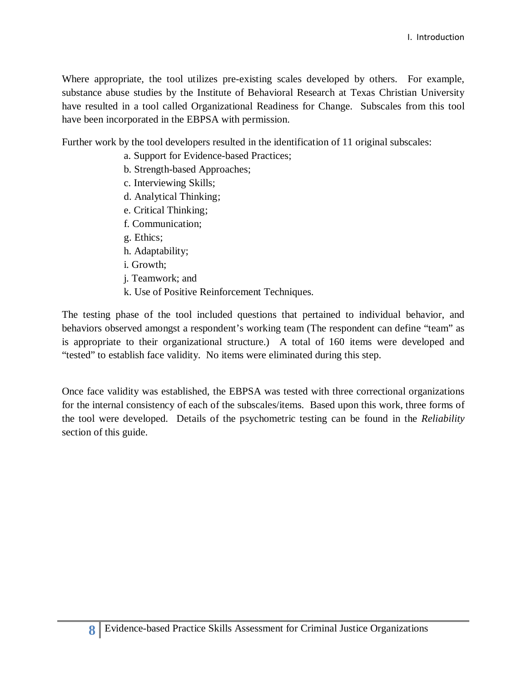Where appropriate, the tool utilizes pre-existing scales developed by others. For example, substance abuse studies by the Institute of Behavioral Research at Texas Christian University have resulted in a tool called Organizational Readiness for Change. Subscales from this tool have been incorporated in the EBPSA with permission.

have been incorporated in the EBPSA with permission. Further work by the tool developers resulted in the identification of 11 original subscales: a. Support for Evidence-based Practices;

- 
- b. Strength-based Approaches;
- c. Interviewing Skills;
- d. Analytical Thinking;
- e. Critical Thinking;
- f. Communication;
- g. Ethics;
- h. Adaptability;
- i. Growth;
- j. Teamwork; and
- k. Use of Positive Reinforcement Techniques.

 behaviors observed amongst a respondent's working team (The respondent can define "team" as "tested" to establish face validity. No items were eliminated during this step. The testing phase of the tool included questions that pertained to individual behavior, and is appropriate to their organizational structure.) A total of 160 items were developed and

 for the internal consistency of each of the subscales/items. Based upon this work, three forms of the tool were developed. Details of the psychometric testing can be found in the *Reliability*  Once face validity was established, the EBPSA was tested with three correctional organizations section of this guide.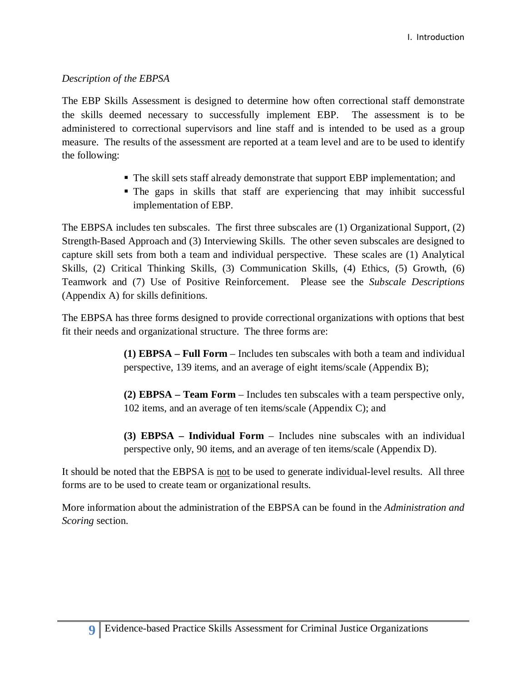### *Description of the EBPSA*

 The EBP Skills Assessment is designed to determine how often correctional staff demonstrate the skills deemed necessary to successfully implement EBP. The assessment is to be administered to correctional supervisors and line staff and is intended to be used as a group measure. The results of the assessment are reported at a team level and are to be used to identify the following:

- The skill sets staff already demonstrate that support EBP implementation; and
- implementation of EBP. The gaps in skills that staff are experiencing that may inhibit successful

implementation of EBP.<br>The EBPSA includes ten subscales. The first three subscales are (1) Organizational Support, (2) capture skill sets from both a team and individual perspective. These scales are (1) Analytical Teamwork and (7) Use of Positive Reinforcement. Please see the *Subscale Descriptions*  Strength-Based Approach and (3) Interviewing Skills. The other seven subscales are designed to Skills, (2) Critical Thinking Skills, (3) Communication Skills, (4) Ethics, (5) Growth, (6) (Appendix A) for skills definitions.

 fit their needs and organizational structure. The three forms are: The EBPSA has three forms designed to provide correctional organizations with options that best

> **(1) EBPSA – Full Form** – Includes ten subscales with both a team and individual perspective, 139 items, and an average of eight items/scale (Appendix B);

> **(2) EBPSA – Team Form** – Includes ten subscales with a team perspective only, 102 items, and an average of ten items/scale (Appendix C); and

> **(3) EBPSA – Individual Form** – Includes nine subscales with an individual perspective only, 90 items, and an average of ten items/scale (Appendix D).

It should be noted that the EBPSA is not to be used to generate individual-level results. All three forms are to be used to create team or organizational results.

 More information about the administration of the EBPSA can be found in the *Administration and Scoring* section.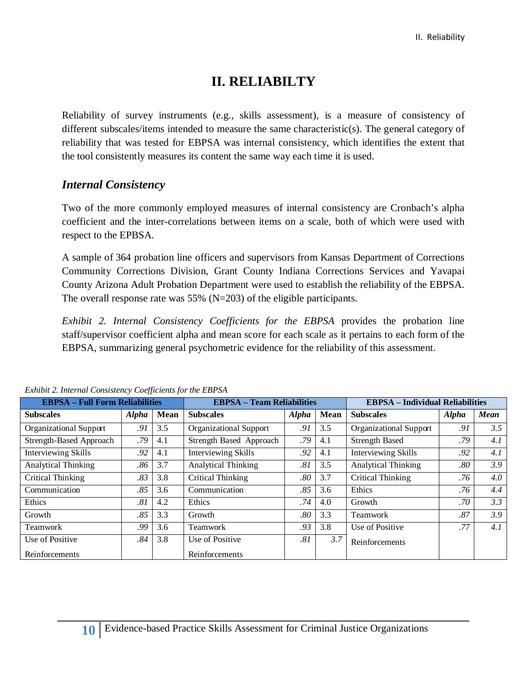## **II. RELIABILTY**

 Reliability of survey instruments (e.g., skills assessment), is a measure of consistency of reliability that was tested for EBPSA was internal consistency, which identifies the extent that the tool consistently measures its content the same way each time it is used. different subscales/items intended to measure the same characteristic(s). The general category of

## *Internal Consistency*

 Two of the more commonly employed measures of internal consistency are Cronbach's alpha coefficient and the inter-correlations between items on a scale, both of which were used with respect to the EPBSA.

 A sample of 364 probation line officers and supervisors from Kansas Department of Corrections County Arizona Adult Probation Department were used to establish the reliability of the EBPSA. The overall response rate was 55% (N=203) of the eligible participants. The overall response rate was  $55\%$  (N=203) of the eligible participants. Community Corrections Division, Grant County Indiana Corrections Services and Yavapai

 EBPSA, summarizing general psychometric evidence for the reliability of this assessment. *Exhibit 2. Internal Consistency Coefficients for the EBPSA* provides the probation line staff/supervisor coefficient alpha and mean score for each scale as it pertains to each form of the

| $\blacksquare$ .  consistency coopperents for the $\blacksquare$ |              |             |                                   |                                         |      |                               |              |             |  |
|------------------------------------------------------------------|--------------|-------------|-----------------------------------|-----------------------------------------|------|-------------------------------|--------------|-------------|--|
| <b>EBPSA - Full Form Reliabilities</b>                           |              |             | <b>EBPSA - Team Reliabilities</b> | <b>EBPSA</b> – Individual Reliabilities |      |                               |              |             |  |
| <b>Subscales</b>                                                 | <b>Alpha</b> | <b>Mean</b> | <b>Subscales</b>                  | <b>Alpha</b>                            | Mean | <b>Subscales</b>              | <b>Alpha</b> | <b>Mean</b> |  |
| <b>Organizational Support</b>                                    | .91          | 3.5         | Organizational Support            | .91                                     | 3.5  | <b>Organizational Support</b> | .91          | 3.5         |  |
| <b>Strength-Based Approach</b>                                   | .79          | 4.1         | Strength Based Approach           | .79                                     | 4.1  | <b>Strength Based</b>         | .79          | 4.1         |  |
| <b>Interviewing Skills</b>                                       | .92          | 4.1         | <b>Interviewing Skills</b>        | .92                                     | 4.1  | <b>Interviewing Skills</b>    | .92          | 4.1         |  |
| <b>Analytical Thinking</b>                                       | .86          | 3.7         | <b>Analytical Thinking</b>        | .81                                     | 3.5  | <b>Analytical Thinking</b>    | .80          | 3.9         |  |
| Critical Thinking                                                | .83          | 3.8         | Critical Thinking                 | $.80\,$                                 | 3.7  | Critical Thinking             | .76          | 4.0         |  |
| Communication                                                    | .85          | 3.6         | Communication                     | .85                                     | 3.6  | Ethics                        | .76          | 4.4         |  |
| Ethics                                                           | .81          | 4.2         | Ethics                            | .74                                     | 4.0  | Growth                        | .70          | 3.3         |  |
| Growth                                                           | .85          | 3.3         | Growth                            | .80                                     | 3.3  | Teamwork                      | $.87\,$      | 3.9         |  |
| Teamwork                                                         | .99          | 3.6         | Teamwork                          | .93                                     | 3.8  | Use of Positive               | .77          | 4.1         |  |
| Use of Positive                                                  | .84          | 3.8         | Use of Positive                   | .81                                     | 3.7  | Reinforcements                |              |             |  |
| Reinforcements                                                   |              |             | Reinforcements                    |                                         |      |                               |              |             |  |

*Exhibit 2. Internal Consistency Coefficients for the EBPSA*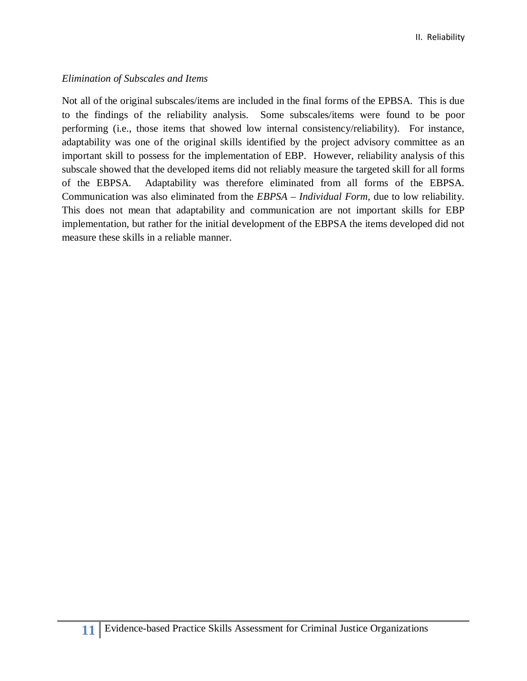### *Elimination of Subscales and Items*

 Not all of the original subscales/items are included in the final forms of the EPBSA. This is due to the findings of the reliability analysis. Some subscales/items were found to be poor performing (i.e., those items that showed low internal consistency/reliability). For instance, adaptability was one of the original skills identified by the project advisory committee as an important skill to possess for the implementation of EBP. However, reliability analysis of this of the EBPSA. This does not mean that adaptability and communication are not important skills for EBP subscale showed that the developed items did not reliably measure the targeted skill for all forms Adaptability was therefore eliminated from all forms of the EBPSA. Communication was also eliminated from the *EBPSA – Individual Form,* due to low reliability. implementation, but rather for the initial development of the EBPSA the items developed did not measure these skills in a reliable manner.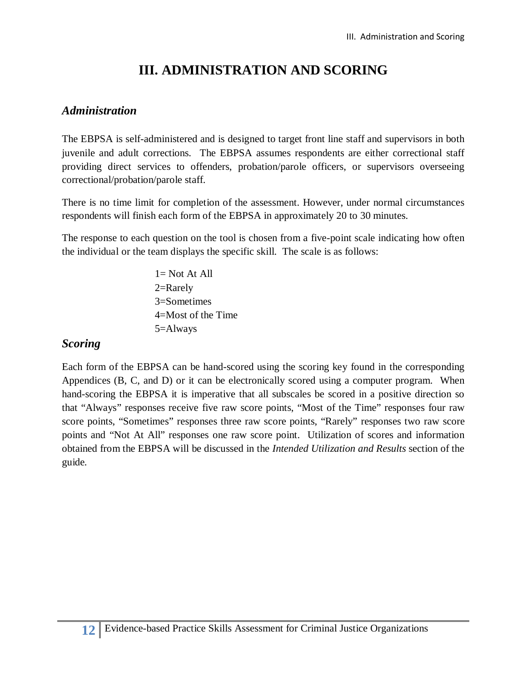## **III. ADMINISTRATION AND SCORING**

## *Administration*

 juvenile and adult corrections. The EBPSA assumes respondents are either correctional staff providing direct services to offenders, probation/parole officers, or supervisors overseeing The EBPSA is self-administered and is designed to target front line staff and supervisors in both correctional/probation/parole staff.

respondents will finish each form of the EBPSA in approximately 20 to 30 minutes. There is no time limit for completion of the assessment. However, under normal circumstances

 respondents will finish each form of the EBPSA in approximately 20 to 30 minutes. The response to each question on the tool is chosen from a five-point scale indicating how often the individual or the team displays the specific skill. The scale is as follows:

> 1= Not At All 2=Rarely 3=Sometimes 4=Most of the Time 5=Always

## *Scoring*

 Appendices (B, C, and D) or it can be electronically scored using a computer program. When hand-scoring the EBPSA it is imperative that all subscales be scored in a positive direction so that "Always" responses receive five raw score points, "Most of the Time" responses four raw points and "Not At All" responses one raw score point. Utilization of scores and information Each form of the EBPSA can be hand-scored using the scoring key found in the corresponding score points, "Sometimes" responses three raw score points, "Rarely" responses two raw score obtained from the EBPSA will be discussed in the *Intended Utilization and Results* section of the guide*.*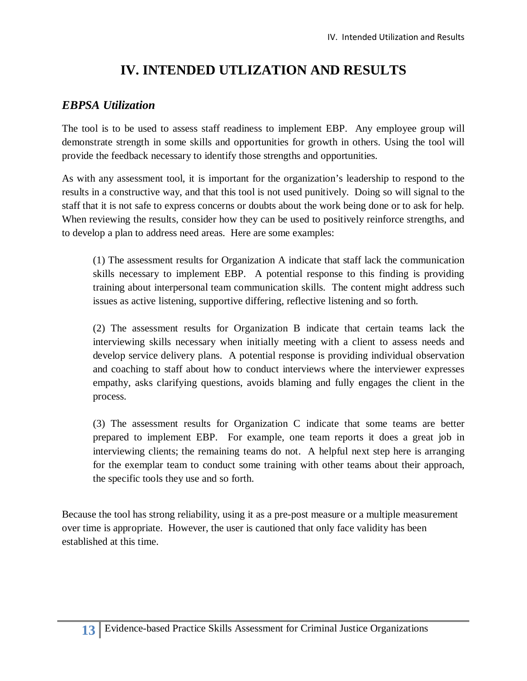## **IV. INTENDED UTLIZATION AND RESULTS**

## *EBPSA Utilization*

 The tool is to be used to assess staff readiness to implement EBP. Any employee group will demonstrate strength in some skills and opportunities for growth in others. Using the tool will provide the feedback necessary to identify those strengths and opportunities.

 As with any assessment tool, it is important for the organization's leadership to respond to the results in a constructive way, and that this tool is not used punitively. Doing so will signal to the staff that it is not safe to express concerns or doubts about the work being done or to ask for help. to develop a plan to address need areas. Here are some examples: When reviewing the results, consider how they can be used to positively reinforce strengths, and

 (1) The assessment results for Organization A indicate that staff lack the communication skills necessary to implement EBP. A potential response to this finding is providing issues as active listening, supportive differing, reflective listening and so forth. training about interpersonal team communication skills. The content might address such

 issues as active listening, supportive differing, reflective listening and so forth. (2) The assessment results for Organization B indicate that certain teams lack the interviewing skills necessary when initially meeting with a client to assess needs and develop service delivery plans. A potential response is providing individual observation and coaching to staff about how to conduct interviews where the interviewer expresses empathy, asks clarifying questions, avoids blaming and fully engages the client in the process.

 prepared to implement EBP. For example, one team reports it does a great job in interviewing clients; the remaining teams do not. A helpful next step here is arranging for the exemplar team to conduct some training with other teams about their approach, (3) The assessment results for Organization C indicate that some teams are better the specific tools they use and so forth.

 over time is appropriate. However, the user is cautioned that only face validity has been Because the tool has strong reliability, using it as a pre-post measure or a multiple measurement established at this time.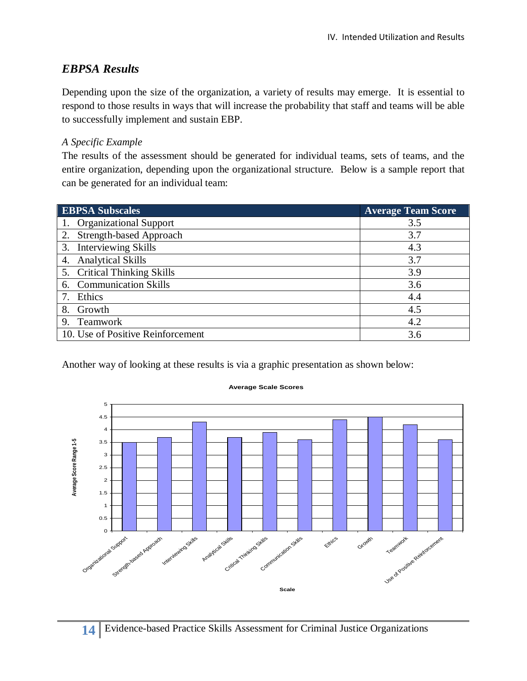## *EBPSA Results*

 respond to those results in ways that will increase the probability that staff and teams will be able Depending upon the size of the organization, a variety of results may emerge. It is essential to to successfully implement and sustain EBP.

### *A Specific Example*

 entire organization, depending upon the organizational structure. Below is a sample report that The results of the assessment should be generated for individual teams, sets of teams, and the can be generated for an individual team:

| <b>EBPSA Subscales</b>            | <b>Average Team Score</b> |
|-----------------------------------|---------------------------|
| <b>Organizational Support</b>     | 3.5                       |
| 2. Strength-based Approach        | 3.7                       |
| 3. Interviewing Skills            | 4.3                       |
| 4. Analytical Skills              | 3.7                       |
| 5. Critical Thinking Skills       | 3.9                       |
| 6. Communication Skills           | 3.6                       |
| Ethics                            | 4.4                       |
| Growth<br>8.                      | 4.5                       |
| 9. Teamwork                       | 4.2                       |
| 10. Use of Positive Reinforcement | 3.6                       |

Another way of looking at these results is via a graphic presentation as shown below:



#### **Average Scale Scores**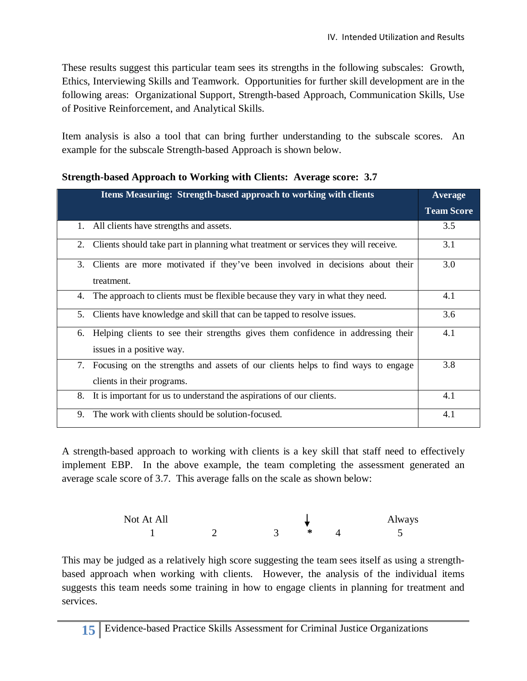These results suggest this particular team sees its strengths in the following subscales: Growth, Ethics, Interviewing Skills and Teamwork. Opportunities for further skill development are in the following areas: Organizational Support, Strength-based Approach, Communication Skills, Use of Positive Reinforcement, and Analytical Skills.

 Item analysis is also a tool that can bring further understanding to the subscale scores. An example for the subscale Strength-based Approach is shown below.

| Items Measuring: Strength-based approach to working with clients                                                    | <b>Average</b>    |
|---------------------------------------------------------------------------------------------------------------------|-------------------|
|                                                                                                                     | <b>Team Score</b> |
| 1. All clients have strengths and assets.                                                                           | 3.5               |
| Clients should take part in planning what treatment or services they will receive.<br>2.                            | 3.1               |
| 3.<br>Clients are more motivated if they've been involved in decisions about their<br>treatment.                    | 3.0               |
| The approach to clients must be flexible because they vary in what they need.<br>4.                                 | 4.1               |
| Clients have knowledge and skill that can be tapped to resolve issues.<br>5.                                        | 3.6               |
| Helping clients to see their strengths gives them confidence in addressing their<br>6.<br>issues in a positive way. | 4.1               |
| 7.<br>Focusing on the strengths and assets of our clients helps to find ways to engage                              | 3.8               |
| clients in their programs.                                                                                          |                   |
| It is important for us to understand the aspirations of our clients.<br>8.                                          | 4.1               |
| The work with clients should be solution-focused.<br>9.                                                             | 4.1               |

**Strength-based Approach to Working with Clients: Average score: 3.7** 

 A strength-based approach to working with clients is a key skill that staff need to effectively implement EBP. In the above example, the team completing the assessment generated an average scale score of 3.7. This average falls on the scale as shown below:

| Not At All |  |  | Always |
|------------|--|--|--------|
|            |  |  |        |

 This may be judged as a relatively high score suggesting the team sees itself as using a strength- based approach when working with clients. However, the analysis of the individual items suggests this team needs some training in how to engage clients in planning for treatment and services.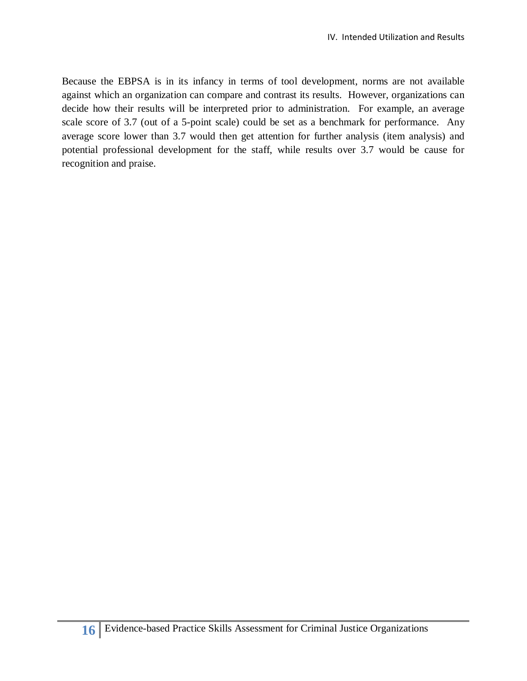Because the EBPSA is in its infancy in terms of tool development, norms are not available decide how their results will be interpreted prior to administration. For example, an average average score lower than 3.7 would then get attention for further analysis (item analysis) and potential professional development for the staff, while results over 3.7 would be cause for against which an organization can compare and contrast its results. However, organizations can scale score of 3.7 (out of a 5-point scale) could be set as a benchmark for performance. Any recognition and praise.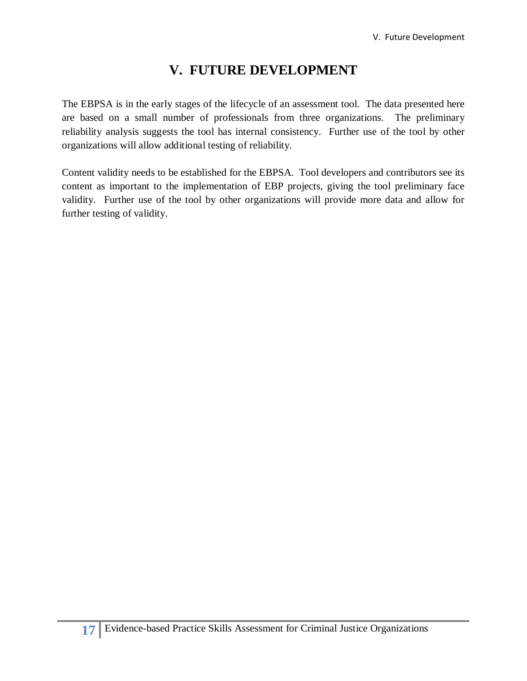## **V. FUTURE DEVELOPMENT**

 The EBPSA is in the early stages of the lifecycle of an assessment tool. The data presented here reliability analysis suggests the tool has internal consistency. Further use of the tool by other are based on a small number of professionals from three organizations. The preliminary organizations will allow additional testing of reliability.

 content as important to the implementation of EBP projects, giving the tool preliminary face validity. Further use of the tool by other organizations will provide more data and allow for further testing of validity. Content validity needs to be established for the EBPSA. Tool developers and contributors see its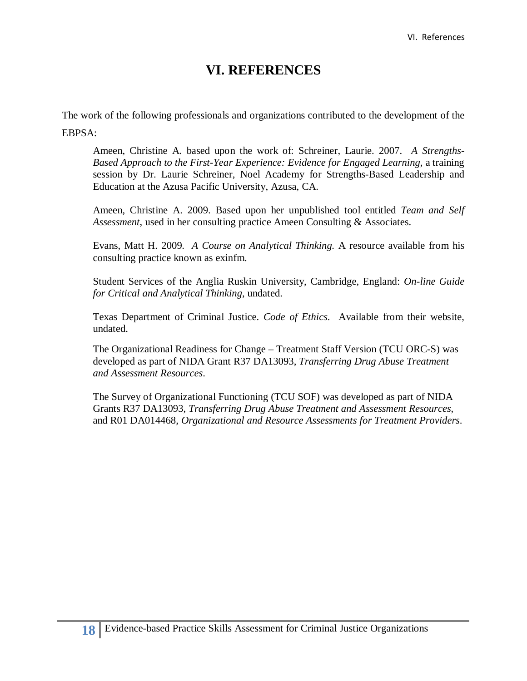## **VI. REFERENCES**

The work of the following professionals and organizations contributed to the development of the EBPSA:

 Ameen, Christine A. based upon the work of: Schreiner, Laurie. 2007. *A Strengths- Based Approach to the First-Year Experience: Evidence for Engaged Learning*, a training session by Dr. Laurie Schreiner, Noel Academy for Strengths-Based Leadership and Education at the Azusa Pacific University, Azusa, CA.

 Ameen, Christine A. 2009. Based upon her unpublished tool entitled *Team and Self Assessment*, used in her consulting practice Ameen Consulting & Associates.

 Evans, Matt H. 2009. *A Course on Analytical Thinking.* A resource available from his consulting practice known as exinfm.

Student Services of the Anglia Ruskin University, Cambridge, England: *On-line Guide for Critical and Analytical Thinking*, undated.

 Texas Department of Criminal Justice. *Code of Ethics*. Available from their website, undated.

 The Organizational Readiness for Change – Treatment Staff Version (TCU ORC-S) was developed as part of NIDA Grant R37 DA13093, *Transferring Drug Abuse Treatment and Assessment Resources*.

 The Survey of Organizational Functioning (TCU SOF) was developed as part of NIDA Grants R37 DA13093, *Transferring Drug Abuse Treatment and Assessment Resources*, and R01 DA014468, *Organizational and Resource Assessments for Treatment Providers*.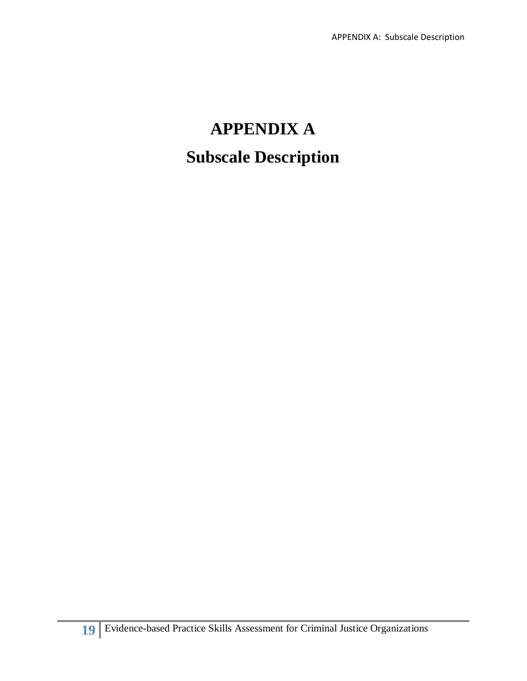## **APPENDIX A Subscale Description**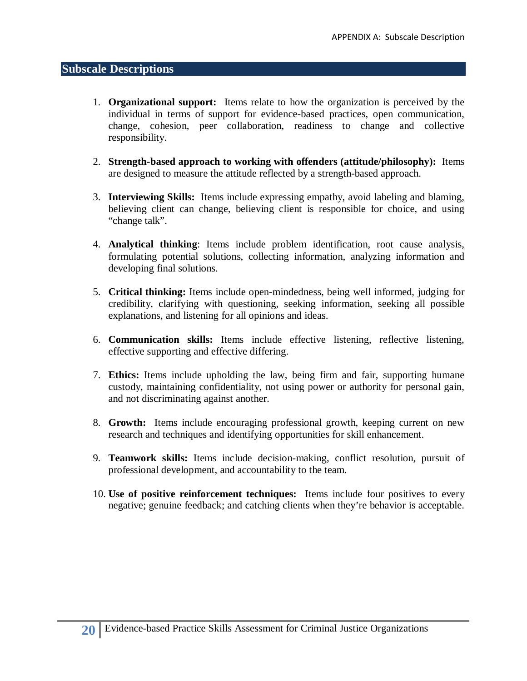## **Subscale Descriptions**

- 1. **Organizational support:** Items relate to how the organization is perceived by the individual in terms of support for evidence-based practices, open communication, change, cohesion, peer collaboration, readiness to change and collective responsibility.
- are designed to measure the attitude reflected by a strength-based approach. 2. **Strength-based approach to working with offenders (attitude/philosophy):** Items
- are designed to measure the attitude reflected by a strength-based approach.<br>3. **Interviewing Skills:** Items include expressing empathy, avoid labeling and blaming, believing client can change, believing client is responsible for choice, and using "change talk".
- developing final solutions. 4. **Analytical thinking**: Items include problem identification, root cause analysis, formulating potential solutions, collecting information, analyzing information and
- 5. Critical thinking: Items include open-mindedness, being well informed, judging for credibility, clarifying with questioning, seeking information, seeking all possible explanations, and listening for all opinions and ideas.
- 6. **Communication skills:** Items include effective listening, reflective listening, effective supporting and effective differing.
- 7. **Ethics:** Items include upholding the law, being firm and fair, supporting humane custody, maintaining confidentiality, not using power or authority for personal gain, and not discriminating against another.
- 8. **Growth:** Items include encouraging professional growth, keeping current on new research and techniques and identifying opportunities for skill enhancement.
- 9. **Teamwork skills:** Items include decision-making, conflict resolution, pursuit of professional development, and accountability to the team.
- 10. **Use of positive reinforcement techniques:** Items include four positives to every negative; genuine feedback; and catching clients when they're behavior is acceptable.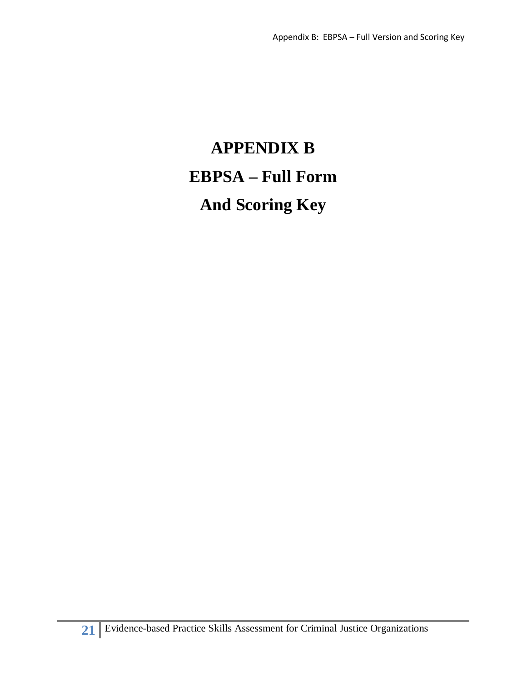# **EBPSA – Full Form APPENDIX B And Scoring Key**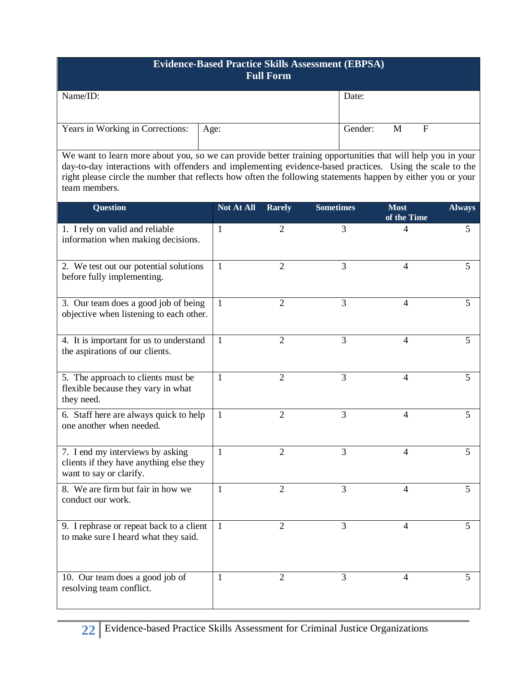|                                  | <b>Evidence-Based Practice Skills Assessment (EBPSA)</b><br><b>Full Form</b> |         |   |   |
|----------------------------------|------------------------------------------------------------------------------|---------|---|---|
| Name/ID:                         |                                                                              | Date:   |   |   |
| Years in Working in Corrections: | Age:                                                                         | Gender: | М | F |

 We want to learn more about you, so we can provide better training opportunities that will help you in your day-to-day interactions with offenders and implementing evidence-based practices. Using the scale to the right please circle the number that reflects how often the following statements happen by either you or your team members.

| <b>Question</b>                                                                                        | Not At All   | <b>Rarely</b>  | <b>Sometimes</b> | <b>Most</b><br>of the Time | <b>Always</b> |
|--------------------------------------------------------------------------------------------------------|--------------|----------------|------------------|----------------------------|---------------|
| 1. I rely on valid and reliable<br>information when making decisions.                                  | 1            | 2              | 3                | 4                          | 5             |
| 2. We test out our potential solutions<br>before fully implementing.                                   | 1            | $\overline{2}$ | 3                | $\overline{4}$             | 5             |
| 3. Our team does a good job of being<br>objective when listening to each other.                        | 1            | $\overline{2}$ | 3                | 4                          | 5             |
| 4. It is important for us to understand<br>the aspirations of our clients.                             | 1            | $\overline{2}$ | 3                | $\overline{4}$             | 5             |
| 5. The approach to clients must be<br>flexible because they vary in what<br>they need.                 | $\mathbf{1}$ | $\overline{2}$ | 3                | $\overline{4}$             | 5             |
| 6. Staff here are always quick to help<br>one another when needed.                                     | 1            | $\overline{2}$ | 3                | 4                          | 5             |
| 7. I end my interviews by asking<br>clients if they have anything else they<br>want to say or clarify. | 1            | $\overline{2}$ | 3                | $\overline{4}$             | 5             |
| 8. We are firm but fair in how we<br>conduct our work.                                                 | 1            | $\overline{2}$ | 3                | $\overline{4}$             | 5             |
| 9. I rephrase or repeat back to a client<br>to make sure I heard what they said.                       | 1            | $\overline{2}$ | 3                | $\overline{4}$             | 5             |
| 10. Our team does a good job of<br>resolving team conflict.                                            | 1            | $\overline{2}$ | 3                | 4                          | 5             |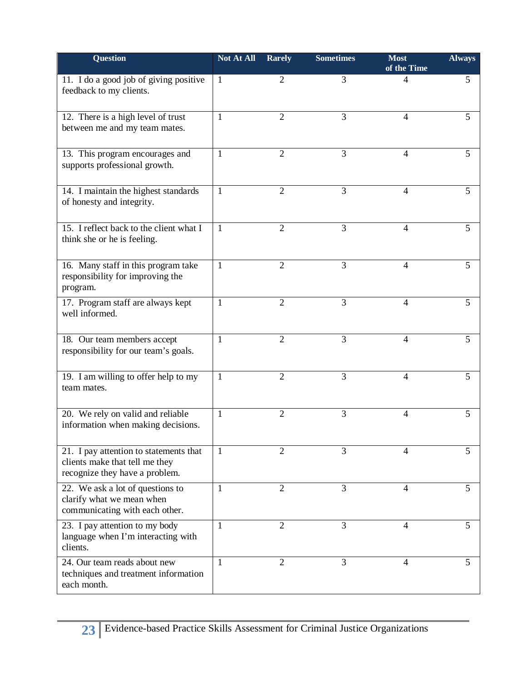| <b>Question</b>                                                                                            | <b>Not At All</b> | <b>Rarely</b>  | <b>Sometimes</b> | <b>Most</b><br>of the Time | <b>Always</b> |
|------------------------------------------------------------------------------------------------------------|-------------------|----------------|------------------|----------------------------|---------------|
| 11. I do a good job of giving positive<br>feedback to my clients.                                          | 1                 | 2              | 3                | 4                          | 5             |
| 12. There is a high level of trust<br>between me and my team mates.                                        | 1                 | $\overline{2}$ | 3                | 4                          | 5             |
| 13. This program encourages and<br>supports professional growth.                                           | 1                 | 2              | 3                | 4                          | 5             |
| 14. I maintain the highest standards<br>of honesty and integrity.                                          | 1                 | $\overline{2}$ | 3                | 4                          | 5             |
| 15. I reflect back to the client what I<br>think she or he is feeling.                                     | 1                 | $\overline{2}$ | 3                | 4                          | 5             |
| 16. Many staff in this program take<br>responsibility for improving the<br>program.                        | 1                 | 2              | 3                | 4                          | 5             |
| 17. Program staff are always kept<br>well informed.                                                        | 1                 | $\overline{2}$ | 3                | 4                          | 5             |
| 18. Our team members accept<br>responsibility for our team's goals.                                        | 1                 | $\overline{2}$ | 3                | 4                          | 5             |
| 19. I am willing to offer help to my<br>team mates.                                                        | 1                 | $\overline{2}$ | 3                | 4                          | 5             |
| 20. We rely on valid and reliable<br>information when making decisions.                                    | 1                 | $\overline{2}$ | 3                | 4                          | 5             |
| 21. I pay attention to statements that<br>clients make that tell me they<br>recognize they have a problem. | 1                 | 2              | 3                | 4                          | 5             |
| 22. We ask a lot of questions to<br>clarify what we mean when<br>communicating with each other.            | 1                 | $\overline{2}$ | 3                | 4                          | 5             |
| 23. I pay attention to my body<br>language when I'm interacting with<br>clients.                           | 1                 | $\overline{2}$ | 3                | 4                          | 5             |
| 24. Our team reads about new<br>techniques and treatment information<br>each month.                        | 1                 | 2              | 3                | 4                          | 5             |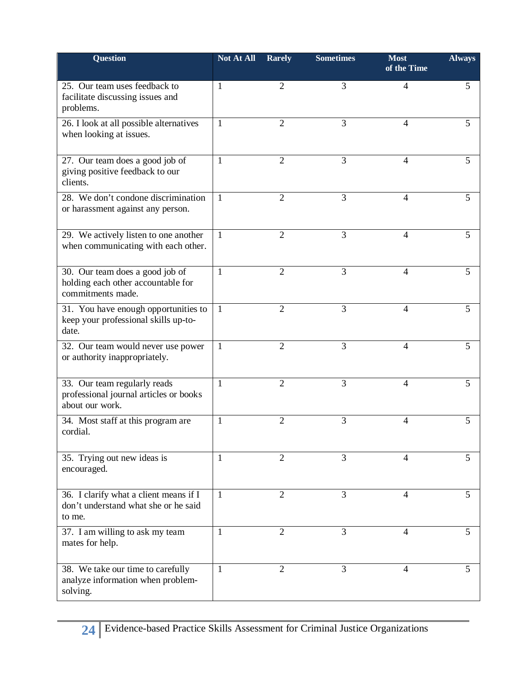| <b>Question</b>                                                                            | Not At All   | <b>Rarely</b>  | <b>Sometimes</b> | <b>Most</b><br>of the Time | <b>Always</b> |
|--------------------------------------------------------------------------------------------|--------------|----------------|------------------|----------------------------|---------------|
| 25. Our team uses feedback to<br>facilitate discussing issues and<br>problems.             | 1            | $\overline{2}$ | 3                | 4                          | 5             |
| 26. I look at all possible alternatives<br>when looking at issues.                         | 1            | 2              | 3                | 4                          | 5             |
| 27. Our team does a good job of<br>giving positive feedback to our<br>clients.             | 1            | $\overline{2}$ | 3                | 4                          | 5             |
| 28. We don't condone discrimination<br>or harassment against any person.                   | 1            | 2              | 3                | 4                          | 5             |
| 29. We actively listen to one another<br>when communicating with each other.               | 1            | $\overline{2}$ | 3                | $\overline{4}$             | 5             |
| 30. Our team does a good job of<br>holding each other accountable for<br>commitments made. | 1            | 2              | 3                | 4                          | 5             |
| 31. You have enough opportunities to<br>keep your professional skills up-to-<br>date.      | $\mathbf{1}$ | 2              | 3                | 4                          | 5             |
| 32. Our team would never use power<br>or authority inappropriately.                        | $\mathbf{1}$ | $\overline{2}$ | 3                | 4                          | 5             |
| 33. Our team regularly reads<br>professional journal articles or books<br>about our work.  | 1            | $\overline{2}$ | 3                | 4                          | 5             |
| 34. Most staff at this program are<br>cordial.                                             | 1            | $\overline{2}$ | 3                | $\overline{4}$             | 5             |
| 35. Trying out new ideas is<br>encouraged.                                                 | 1            | 2              | 3                | 4                          | 5             |
| 36. I clarify what a client means if I<br>don't understand what she or he said<br>to me.   | $\mathbf{1}$ | $\overline{2}$ | 3                | $\overline{4}$             | 5             |
| 37. I am willing to ask my team<br>mates for help.                                         | 1            | $\overline{2}$ | 3                | 4                          | 5             |
| 38. We take our time to carefully<br>analyze information when problem-<br>solving.         | 1            | 2              | 3                | 4                          | 5             |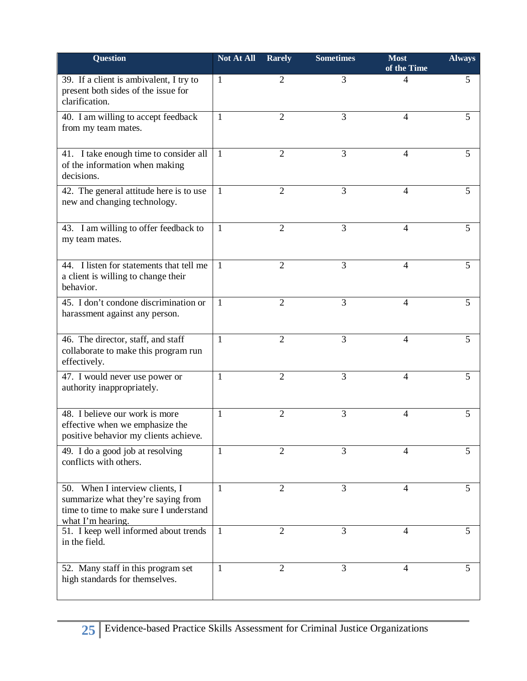| <b>Question</b>                                                                                                                      | Not At All   | <b>Rarely</b>  | <b>Sometimes</b> | <b>Most</b><br>of the Time | <b>Always</b> |
|--------------------------------------------------------------------------------------------------------------------------------------|--------------|----------------|------------------|----------------------------|---------------|
| 39. If a client is ambivalent, I try to<br>present both sides of the issue for<br>clarification.                                     | 1            | $\overline{2}$ | 3                | 4                          | 5             |
| 40. I am willing to accept feedback<br>from my team mates.                                                                           | 1            | $\overline{2}$ | 3                | 4                          | 5             |
| 41. I take enough time to consider all<br>of the information when making<br>decisions.                                               | 1            | $\overline{2}$ | 3                | 4                          | 5             |
| 42. The general attitude here is to use<br>new and changing technology.                                                              | Ι.           | $\overline{2}$ | 3                | 4                          | 5             |
| 43. I am willing to offer feedback to<br>my team mates.                                                                              | 1            | 2              | 3                | 4                          | 5             |
| 44. I listen for statements that tell me<br>a client is willing to change their<br>behavior.                                         | 1            | $\overline{2}$ | 3                | 4                          | 5             |
| 45. I don't condone discrimination or<br>harassment against any person.                                                              | 1            | $\overline{2}$ | 3                | 4                          | 5             |
| 46. The director, staff, and staff<br>collaborate to make this program run<br>effectively.                                           | 1            | $\overline{2}$ | 3                | $\overline{4}$             | 5             |
| 47. I would never use power or<br>authority inappropriately.                                                                         | 1            | $\overline{2}$ | 3                | 4                          | 5             |
| 48. I believe our work is more<br>effective when we emphasize the<br>positive behavior my clients achieve.                           | 1            | $\overline{2}$ | 3                | 4                          | 5             |
| 49. I do a good job at resolving<br>conflicts with others.                                                                           | 1            | $\overline{2}$ | 3                | 4                          | 5             |
| 50. When I interview clients, I<br>summarize what they're saying from<br>time to time to make sure I understand<br>what I'm hearing. | 1            | $\overline{2}$ | 3                | 4                          | 5             |
| 51. I keep well informed about trends<br>in the field.                                                                               | $\mathbf{1}$ | $\overline{2}$ | 3                | 4                          | 5             |
| 52. Many staff in this program set<br>high standards for themselves.                                                                 | 1            | $\overline{2}$ | 3                | 4                          | 5             |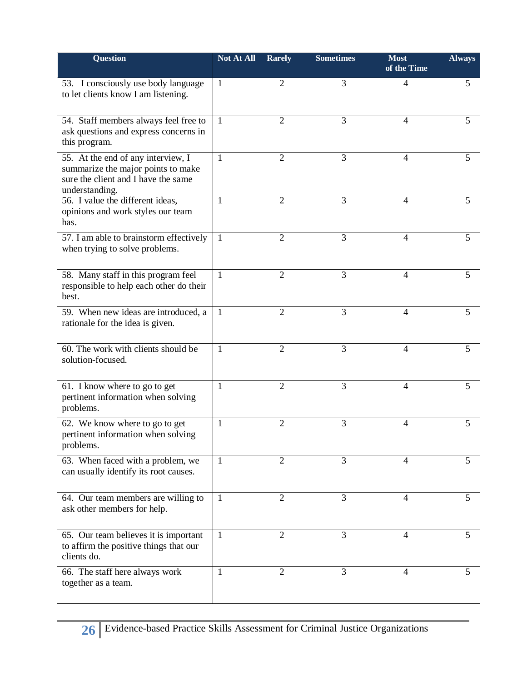| Question                                                                                                                          | Not At All   | <b>Rarely</b>  | <b>Sometimes</b> | <b>Most</b><br>of the Time | <b>Always</b> |
|-----------------------------------------------------------------------------------------------------------------------------------|--------------|----------------|------------------|----------------------------|---------------|
| 53. I consciously use body language<br>to let clients know I am listening.                                                        | 1            | $\overline{2}$ | 3                | $\overline{4}$             | 5             |
| 54. Staff members always feel free to<br>ask questions and express concerns in<br>this program.                                   | 1            | $\overline{2}$ | 3                | 4                          | 5             |
| 55. At the end of any interview, I<br>summarize the major points to make<br>sure the client and I have the same<br>understanding. | 1            | $\overline{2}$ | 3                | $\overline{4}$             | 5             |
| 56. I value the different ideas,<br>opinions and work styles our team<br>has.                                                     | 1            | $\overline{2}$ | 3                | 4                          | 5             |
| 57. I am able to brainstorm effectively<br>when trying to solve problems.                                                         | -1           | $\overline{2}$ | 3                | 4                          | 5             |
| 58. Many staff in this program feel<br>responsible to help each other do their<br>best.                                           | $\mathbf{1}$ | $\overline{2}$ | 3                | 4                          | 5             |
| 59. When new ideas are introduced, a<br>rationale for the idea is given.                                                          | -1           | 2              | 3                | 4                          | 5             |
| 60. The work with clients should be<br>solution-focused.                                                                          | $\mathbf{1}$ | 2              | 3                | 4                          | 5             |
| 61. I know where to go to get<br>pertinent information when solving<br>problems.                                                  | 1            | $\overline{2}$ | 3                | 4                          | 5             |
| 62. We know where to go to get<br>pertinent information when solving<br>problems.                                                 | 1            | $\overline{2}$ | 3                | 4                          | 5             |
| 63. When faced with a problem, we<br>can usually identify its root causes.                                                        | $\mathbf{1}$ | 2              | 3                | 4                          | 5             |
| 64. Our team members are willing to<br>ask other members for help.                                                                | 1            | 2              | 3                | 4                          | 5             |
| 65. Our team believes it is important<br>to affirm the positive things that our<br>clients do.                                    | $\mathbf{1}$ | $\overline{2}$ | 3                | $\overline{4}$             | 5             |
| 66. The staff here always work<br>together as a team.                                                                             | 1            | $\overline{2}$ | 3                | 4                          | 5             |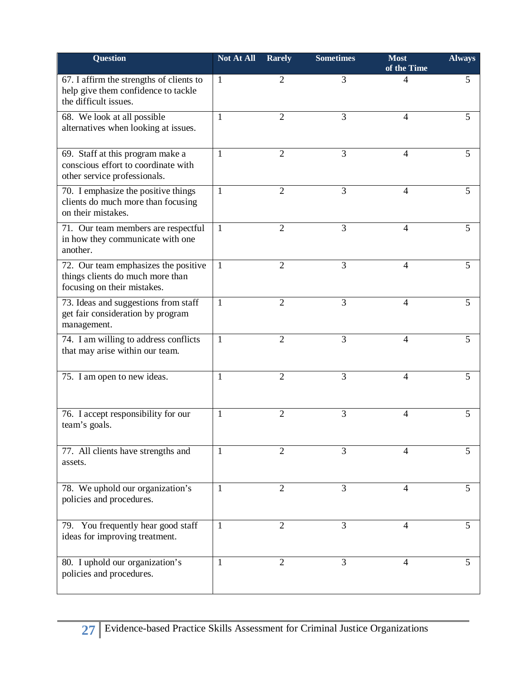| <b>Question</b>                                                                                          | <b>Not At All</b> | <b>Rarely</b>  | <b>Sometimes</b> | <b>Most</b><br>of the Time | <b>Always</b> |
|----------------------------------------------------------------------------------------------------------|-------------------|----------------|------------------|----------------------------|---------------|
| 67. I affirm the strengths of clients to<br>help give them confidence to tackle<br>the difficult issues. | 1                 | 2              | 3                | 4                          | 5             |
| 68. We look at all possible<br>alternatives when looking at issues.                                      | 1                 | $\overline{2}$ | 3                | 4                          | 5             |
| 69. Staff at this program make a<br>conscious effort to coordinate with<br>other service professionals.  | 1                 | 2              | 3                | 4                          | 5             |
| 70. I emphasize the positive things<br>clients do much more than focusing<br>on their mistakes.          | $\mathbf{1}$      | $\overline{2}$ | 3                | 4                          | 5             |
| 71. Our team members are respectful<br>in how they communicate with one<br>another.                      | $\mathbf{1}$      | $\overline{2}$ | 3                | 4                          | 5             |
| 72. Our team emphasizes the positive<br>things clients do much more than<br>focusing on their mistakes.  | 1                 | 2              | 3                | 4                          | 5             |
| 73. Ideas and suggestions from staff<br>get fair consideration by program<br>management.                 | 1                 | $\overline{2}$ | 3                | 4                          | 5             |
| 74. I am willing to address conflicts<br>that may arise within our team.                                 | 1                 | $\overline{2}$ | 3                | 4                          | 5             |
| 75. I am open to new ideas.                                                                              | 1                 | $\overline{2}$ | 3                | 4                          | 5             |
| 76. I accept responsibility for our<br>team's goals.                                                     | 1                 | $\overline{2}$ | 3                | 4                          | 5             |
| 77. All clients have strengths and<br>assets.                                                            | 1                 | 2              | 3                | 4                          | 5             |
| 78. We uphold our organization's<br>policies and procedures.                                             | 1                 | $\overline{2}$ | 3                | 4                          | 5             |
| 79. You frequently hear good staff<br>ideas for improving treatment.                                     | 1                 | $\overline{2}$ | 3                | 4                          | 5             |
| 80. I uphold our organization's<br>policies and procedures.                                              | 1                 | $\overline{2}$ | 3                | 4                          | 5             |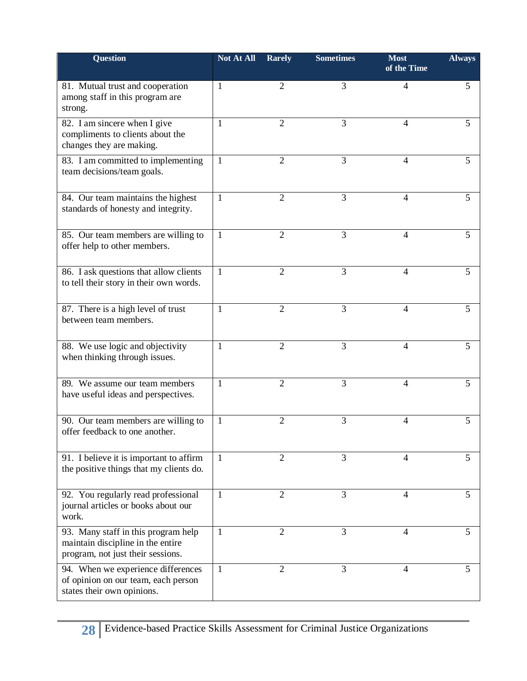| <b>Question</b>                                                                                               | <b>Not At All</b> | <b>Rarely</b>  | <b>Sometimes</b> | <b>Most</b><br>of the Time | <b>Always</b> |
|---------------------------------------------------------------------------------------------------------------|-------------------|----------------|------------------|----------------------------|---------------|
| 81. Mutual trust and cooperation<br>among staff in this program are<br>strong.                                | 1                 | 2              | 3                | $\overline{4}$             | 5             |
| 82. I am sincere when I give<br>compliments to clients about the<br>changes they are making.                  | 1                 | $\overline{2}$ | 3                | 4                          | 5             |
| 83. I am committed to implementing<br>team decisions/team goals.                                              | 1                 | $\overline{2}$ | 3                | 4                          | 5             |
| 84. Our team maintains the highest<br>standards of honesty and integrity.                                     | 1                 | 2              | 3                | 4                          | 5             |
| 85. Our team members are willing to<br>offer help to other members.                                           | 1                 | $\overline{2}$ | 3                | 4                          | 5             |
| 86. I ask questions that allow clients<br>to tell their story in their own words.                             | 1                 | $\overline{2}$ | 3                | 4                          | 5             |
| 87. There is a high level of trust<br>between team members.                                                   | 1                 | $\overline{2}$ | 3                | 4                          | 5             |
| 88. We use logic and objectivity<br>when thinking through issues.                                             | 1                 | $\overline{2}$ | 3                | 4                          | 5             |
| 89. We assume our team members<br>have useful ideas and perspectives.                                         | 1                 | $\overline{2}$ | 3                | 4                          | 5             |
| 90. Our team members are willing to<br>offer feedback to one another.                                         | 1                 | $\overline{2}$ | 3                | 4                          | 5             |
| 91. I believe it is important to affirm<br>the positive things that my clients do.                            | 1                 | 2              | 3                | 4                          | 5             |
| 92. You regularly read professional<br>journal articles or books about our<br>work.                           | $\mathbf{1}$      | $\overline{2}$ | 3                | 4                          | 5             |
| 93. Many staff in this program help<br>maintain discipline in the entire<br>program, not just their sessions. | 1                 | 2              | 3                | 4                          | 5             |
| 94. When we experience differences<br>of opinion on our team, each person<br>states their own opinions.       | 1                 | 2              | 3                | 4                          | 5             |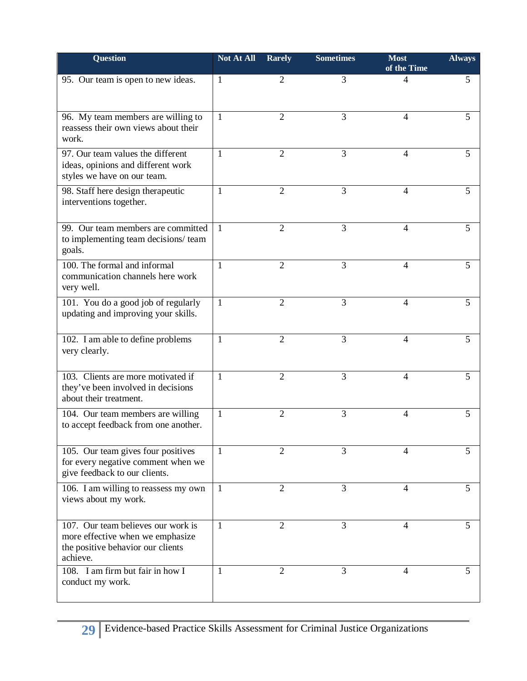| Question                                                                                                                | <b>Not At All</b> | <b>Rarely</b>  | <b>Sometimes</b> | <b>Most</b><br>of the Time | <b>Always</b> |
|-------------------------------------------------------------------------------------------------------------------------|-------------------|----------------|------------------|----------------------------|---------------|
| 95. Our team is open to new ideas.                                                                                      | 1                 | 2              | 3                | 4                          | 5             |
| 96. My team members are willing to<br>reassess their own views about their<br>work.                                     | 1                 | $\overline{2}$ | 3                | 4                          | 5             |
| 97. Our team values the different<br>ideas, opinions and different work<br>styles we have on our team.                  | $\mathbf{1}$      | $\overline{2}$ | 3                | 4                          | 5             |
| 98. Staff here design therapeutic<br>interventions together.                                                            | 1                 | $\overline{2}$ | 3                | 4                          | 5             |
| 99. Our team members are committed<br>to implementing team decisions/ team<br>goals.                                    | 1                 | $\overline{2}$ | 3                | 4                          | 5             |
| 100. The formal and informal<br>communication channels here work<br>very well.                                          | 1                 | $\overline{2}$ | 3                | 4                          | 5             |
| 101. You do a good job of regularly<br>updating and improving your skills.                                              | 1                 | 2              | 3                | 4                          | 5             |
| 102. I am able to define problems<br>very clearly.                                                                      | $\mathbf{1}$      | $\overline{2}$ | 3                | 4                          | 5             |
| 103. Clients are more motivated if<br>they've been involved in decisions<br>about their treatment.                      | 1                 | $\overline{2}$ | 3                | 4                          | 5             |
| 104. Our team members are willing<br>to accept feedback from one another.                                               | 1                 | $\overline{2}$ | 3                | 4                          | 5             |
| 105. Our team gives four positives<br>for every negative comment when we<br>give feedback to our clients.               | 1                 | 2              | 3                | 4                          | 5             |
| 106. I am willing to reassess my own<br>views about my work.                                                            | 1                 | $\overline{2}$ | 3                | 4                          | 5             |
| 107. Our team believes our work is<br>more effective when we emphasize<br>the positive behavior our clients<br>achieve. | $\mathbf{1}$      | $\overline{2}$ | 3                | $\overline{4}$             | 5             |
| 108. I am firm but fair in how I<br>conduct my work.                                                                    | 1                 | 2              | 3                | 4                          | 5             |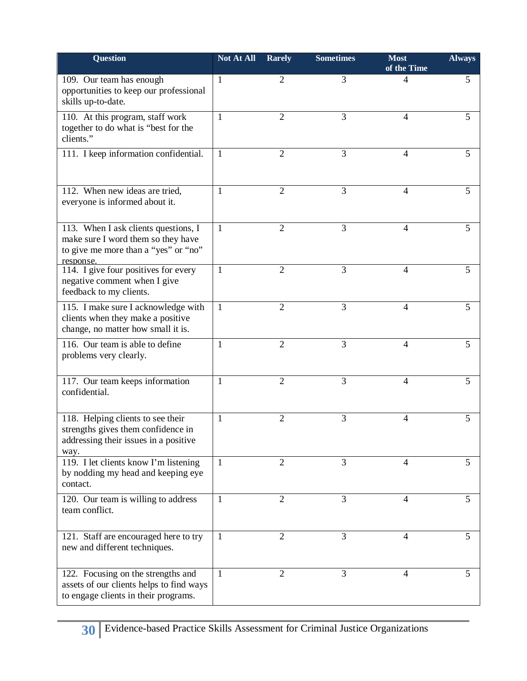| <b>Question</b>                                                                                                                 | <b>Not At All</b> | <b>Rarely</b>  | <b>Sometimes</b> | <b>Most</b><br>of the Time | <b>Always</b> |
|---------------------------------------------------------------------------------------------------------------------------------|-------------------|----------------|------------------|----------------------------|---------------|
| 109. Our team has enough<br>opportunities to keep our professional<br>skills up-to-date.                                        | 1                 | 2              | 3                | 4                          | 5             |
| 110. At this program, staff work<br>together to do what is "best for the<br>clients."                                           | 1                 | $\overline{2}$ | 3                | 4                          | 5             |
| 111. I keep information confidential.                                                                                           | 1                 | $\overline{2}$ | 3                | 4                          | 5             |
| 112. When new ideas are tried,<br>everyone is informed about it.                                                                | 1                 | $\overline{2}$ | 3                | $\overline{4}$             | 5             |
| 113. When I ask clients questions, I<br>make sure I word them so they have<br>to give me more than a "yes" or "no"<br>response. | 1                 | $\overline{2}$ | 3                | 4                          | 5             |
| 114. I give four positives for every<br>negative comment when I give<br>feedback to my clients.                                 | 1                 | $\overline{2}$ | 3                | 4                          | 5             |
| 115. I make sure I acknowledge with<br>clients when they make a positive<br>change, no matter how small it is.                  | 1                 | 2              | 3                | 4                          | 5             |
| 116. Our team is able to define<br>problems very clearly.                                                                       | 1                 | $\overline{2}$ | 3                | 4                          | 5             |
| 117. Our team keeps information<br>confidential.                                                                                | 1                 | $\overline{2}$ | 3                | 4                          | 5             |
| 118. Helping clients to see their<br>strengths gives them confidence in<br>addressing their issues in a positive<br>way.        | 1                 | $\overline{2}$ | 3                | 4                          | 5             |
| 119. I let clients know I'm listening<br>by nodding my head and keeping eye<br>contact.                                         | $\mathbf{1}$      | 2              | 3                | 4                          | 5             |
| 120. Our team is willing to address<br>team conflict.                                                                           | 1                 | $\overline{2}$ | 3                | 4                          | 5             |
| 121. Staff are encouraged here to try<br>new and different techniques.                                                          | 1                 | $\overline{2}$ | 3                | 4                          | 5             |
| 122. Focusing on the strengths and<br>assets of our clients helps to find ways<br>to engage clients in their programs.          | $\mathbf{1}$      | 2              | 3                | 4                          | 5             |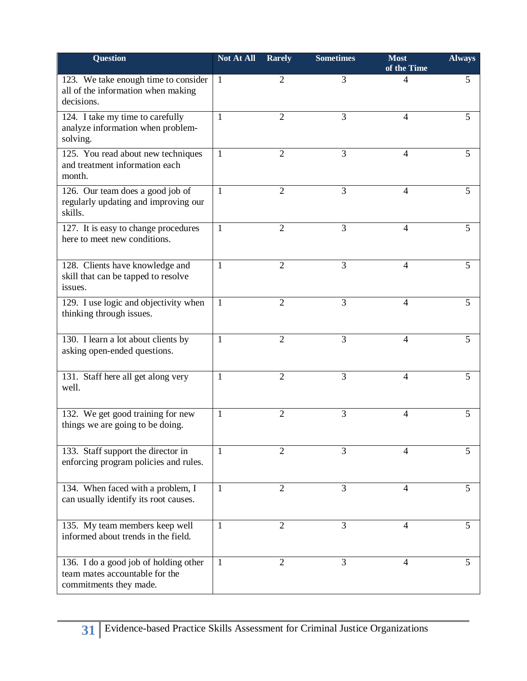| <b>Question</b>                                                                                   | <b>Not At All</b> | <b>Rarely</b>  | <b>Sometimes</b> | <b>Most</b><br>of the Time | <b>Always</b> |
|---------------------------------------------------------------------------------------------------|-------------------|----------------|------------------|----------------------------|---------------|
| 123. We take enough time to consider<br>all of the information when making<br>decisions.          | 1                 | 2              | 3                | 4                          | 5             |
| 124. I take my time to carefully<br>analyze information when problem-<br>solving.                 | 1                 | $\overline{2}$ | 3                | 4                          | 5             |
| 125. You read about new techniques<br>and treatment information each<br>month.                    | 1                 | 2              | 3                | 4                          | 5             |
| 126. Our team does a good job of<br>regularly updating and improving our<br>skills.               | 1                 | $\overline{2}$ | 3                | $\overline{4}$             | 5             |
| 127. It is easy to change procedures<br>here to meet new conditions.                              | 1                 | 2              | 3                | 4                          | 5             |
| 128. Clients have knowledge and<br>skill that can be tapped to resolve<br>issues.                 | 1                 | $\overline{2}$ | 3                | $\overline{4}$             | 5             |
| 129. I use logic and objectivity when<br>thinking through issues.                                 | 1                 | $\overline{2}$ | 3                | 4                          | 5             |
| 130. I learn a lot about clients by<br>asking open-ended questions.                               | 1                 | $\overline{2}$ | 3                | $\overline{4}$             | 5             |
| 131. Staff here all get along very<br>well.                                                       | 1                 | 2              | 3                | $\overline{4}$             | 5             |
| 132. We get good training for new<br>things we are going to be doing.                             | 1                 | $\overline{2}$ | 3                | 4                          | 5             |
| 133. Staff support the director in<br>enforcing program policies and rules.                       | $\mathbf{1}$      | $\overline{2}$ | 3                | $\overline{4}$             | 5             |
| 134. When faced with a problem, I<br>can usually identify its root causes.                        | 1                 | $\overline{2}$ | 3                | 4                          | 5             |
| 135. My team members keep well<br>informed about trends in the field.                             | 1                 | $\overline{2}$ | 3                | $\overline{4}$             | 5             |
| 136. I do a good job of holding other<br>team mates accountable for the<br>commitments they made. | 1                 | 2              | 3                | 4                          | 5             |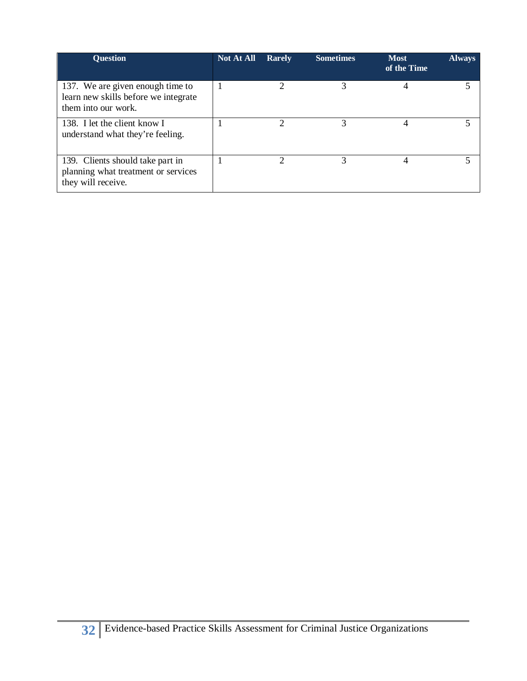| <b>Ouestion</b>                                                                                 | <b>Not At All</b> | <b>Rarely</b> | <b>Sometimes</b> | <b>Most</b><br>of the Time | <b>Always</b> |
|-------------------------------------------------------------------------------------------------|-------------------|---------------|------------------|----------------------------|---------------|
| 137. We are given enough time to<br>learn new skills before we integrate<br>them into our work. |                   |               | 3                |                            |               |
| 138. I let the client know I<br>understand what they're feeling.                                |                   |               | $\mathcal{R}$    | 4                          |               |
| 139. Clients should take part in<br>planning what treatment or services<br>they will receive.   |                   |               | 3                | 4                          |               |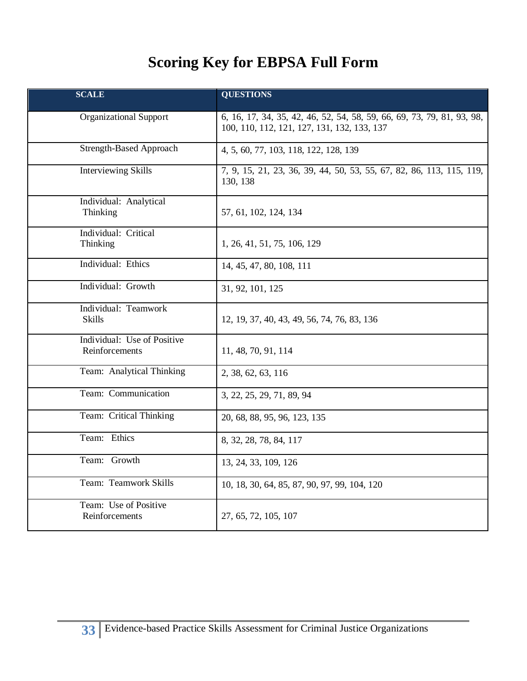## **Scoring Key for EBPSA Full Form**

| <b>SCALE</b>                                  | <b>QUESTIONS</b>                                                                                                      |
|-----------------------------------------------|-----------------------------------------------------------------------------------------------------------------------|
| <b>Organizational Support</b>                 | 6, 16, 17, 34, 35, 42, 46, 52, 54, 58, 59, 66, 69, 73, 79, 81, 93, 98,<br>100, 110, 112, 121, 127, 131, 132, 133, 137 |
| <b>Strength-Based Approach</b>                | 4, 5, 60, 77, 103, 118, 122, 128, 139                                                                                 |
| <b>Interviewing Skills</b>                    | 7, 9, 15, 21, 23, 36, 39, 44, 50, 53, 55, 67, 82, 86, 113, 115, 119,<br>130, 138                                      |
| Individual: Analytical<br>Thinking            | 57, 61, 102, 124, 134                                                                                                 |
| Individual: Critical<br>Thinking              | 1, 26, 41, 51, 75, 106, 129                                                                                           |
| Individual: Ethics                            | 14, 45, 47, 80, 108, 111                                                                                              |
| Individual: Growth                            | 31, 92, 101, 125                                                                                                      |
| Individual: Teamwork<br>Skills                | 12, 19, 37, 40, 43, 49, 56, 74, 76, 83, 136                                                                           |
| Individual: Use of Positive<br>Reinforcements | 11, 48, 70, 91, 114                                                                                                   |
| Team: Analytical Thinking                     | 2, 38, 62, 63, 116                                                                                                    |
| Team: Communication                           | 3, 22, 25, 29, 71, 89, 94                                                                                             |
| Team: Critical Thinking                       | 20, 68, 88, 95, 96, 123, 135                                                                                          |
| Team: Ethics                                  | 8, 32, 28, 78, 84, 117                                                                                                |
| Team: Growth                                  | 13, 24, 33, 109, 126                                                                                                  |
| Team: Teamwork Skills                         | 10, 18, 30, 64, 85, 87, 90, 97, 99, 104, 120                                                                          |
| Team: Use of Positive<br>Reinforcements       | 27, 65, 72, 105, 107                                                                                                  |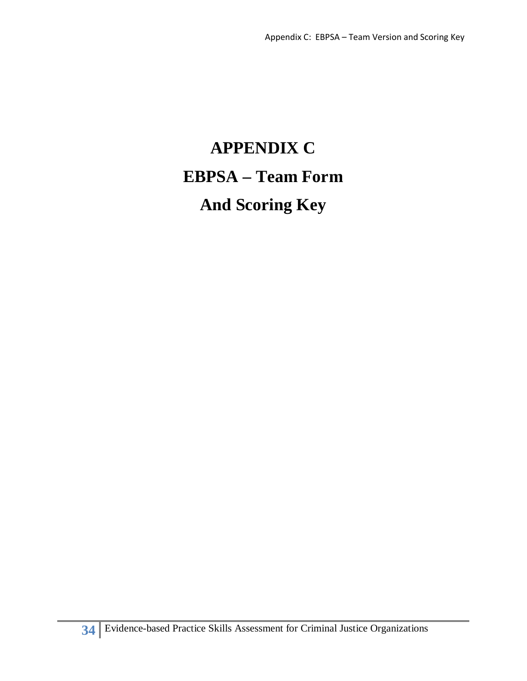## **APPENDIX C EBPSA – Team Form And Scoring Key**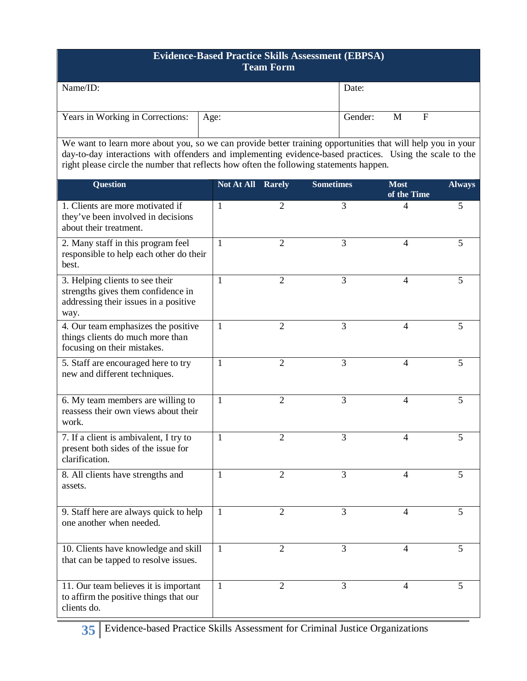#### **Evidence-Based Practice Skills Assessment (EBPSA) Team Form**

| Name/ID:                                | Date:   |   |   |
|-----------------------------------------|---------|---|---|
|                                         |         |   |   |
|                                         |         |   |   |
| Years in Working in Corrections:   Age: | Gender: | M | F |
|                                         |         |   |   |

 We want to learn more about you, so we can provide better training opportunities that will help you in your day-to-day interactions with offenders and implementing evidence-based practices. Using the scale to the right please circle the number that reflects how often the following statements happen.

| <b>Question</b>                                                                                                        | Not At All   | <b>Rarely</b>  | <b>Sometimes</b> | <b>Most</b><br>of the Time | <b>Always</b> |
|------------------------------------------------------------------------------------------------------------------------|--------------|----------------|------------------|----------------------------|---------------|
| 1. Clients are more motivated if<br>they've been involved in decisions<br>about their treatment.                       | 1            | $\overline{2}$ | 3                | 4                          | 5             |
| 2. Many staff in this program feel<br>responsible to help each other do their<br>best.                                 | 1            | $\overline{2}$ | 3                | $\overline{4}$             | 5             |
| 3. Helping clients to see their<br>strengths gives them confidence in<br>addressing their issues in a positive<br>way. | 1            | $\overline{2}$ | 3                | 4                          | 5             |
| 4. Our team emphasizes the positive<br>things clients do much more than<br>focusing on their mistakes.                 | 1            | 2              | 3                | 4                          | 5             |
| 5. Staff are encouraged here to try<br>new and different techniques.                                                   | 1            | $\overline{2}$ | 3                | 4                          | 5             |
| 6. My team members are willing to<br>reassess their own views about their<br>work.                                     | 1            | $\overline{2}$ | 3                | 4                          | 5             |
| 7. If a client is ambivalent, I try to<br>present both sides of the issue for<br>clarification.                        | 1            | $\overline{2}$ | 3                | 4                          | 5             |
| 8. All clients have strengths and<br>assets.                                                                           | 1            | $\overline{2}$ | 3                | $\overline{\mathcal{L}}$   | 5             |
| 9. Staff here are always quick to help<br>one another when needed.                                                     | 1            | $\overline{2}$ | 3                | 4                          | 5             |
| 10. Clients have knowledge and skill<br>that can be tapped to resolve issues.                                          | 1            | $\overline{2}$ | 3                | 4                          | 5             |
| 11. Our team believes it is important<br>to affirm the positive things that our<br>clients do.                         | $\mathbf{1}$ | $\overline{2}$ | 3                | $\overline{4}$             | 5             |

**35** Evidence-based Practice Skills Assessment for Criminal Justice Organizations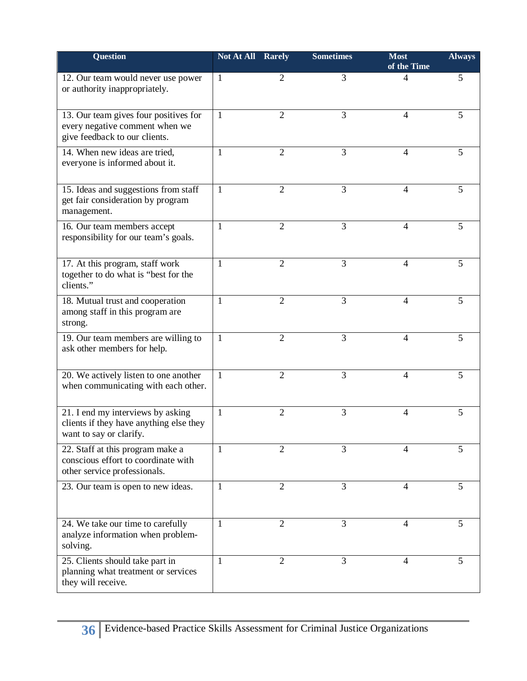| <b>Question</b>                                                                                          | Not At All Rarely |                | <b>Sometimes</b> | <b>Most</b><br>of the Time | <b>Always</b> |
|----------------------------------------------------------------------------------------------------------|-------------------|----------------|------------------|----------------------------|---------------|
| 12. Our team would never use power<br>or authority inappropriately.                                      | 1                 | 2              | 3                | 4                          | 5             |
| 13. Our team gives four positives for<br>every negative comment when we<br>give feedback to our clients. | 1                 | $\overline{2}$ | 3                | 4                          | 5             |
| 14. When new ideas are tried,<br>everyone is informed about it.                                          | 1                 | $\overline{2}$ | 3                | 4                          | 5             |
| 15. Ideas and suggestions from staff<br>get fair consideration by program<br>management.                 | 1                 | $\overline{2}$ | 3                | 4                          | 5             |
| 16. Our team members accept<br>responsibility for our team's goals.                                      | 1                 | $\overline{2}$ | 3                | 4                          | 5             |
| 17. At this program, staff work<br>together to do what is "best for the<br>clients."                     | 1                 | $\overline{2}$ | 3                | $\overline{4}$             | 5             |
| 18. Mutual trust and cooperation<br>among staff in this program are<br>strong.                           | 1                 | $\overline{2}$ | 3                | 4                          | 5             |
| 19. Our team members are willing to<br>ask other members for help.                                       | 1                 | $\overline{2}$ | 3                | $\overline{4}$             | 5             |
| 20. We actively listen to one another<br>when communicating with each other.                             | 1                 | $\overline{2}$ | 3                | 4                          | 5             |
| 21. I end my interviews by asking<br>clients if they have anything else they<br>want to say or clarify.  | $\mathbf{1}$      | $\overline{2}$ | 3                | 4                          | 5             |
| 22. Staff at this program make a<br>conscious effort to coordinate with<br>other service professionals.  | $\mathbf{1}$      | $\overline{2}$ | 3                | 4                          | 5             |
| 23. Our team is open to new ideas.                                                                       | $\mathbf{1}$      | $\overline{2}$ | 3                | 4                          | 5             |
| 24. We take our time to carefully<br>analyze information when problem-<br>solving.                       | 1                 | $\overline{2}$ | 3                | $\overline{4}$             | 5             |
| 25. Clients should take part in<br>planning what treatment or services<br>they will receive.             | 1                 | $\overline{2}$ | 3                | 4                          | 5             |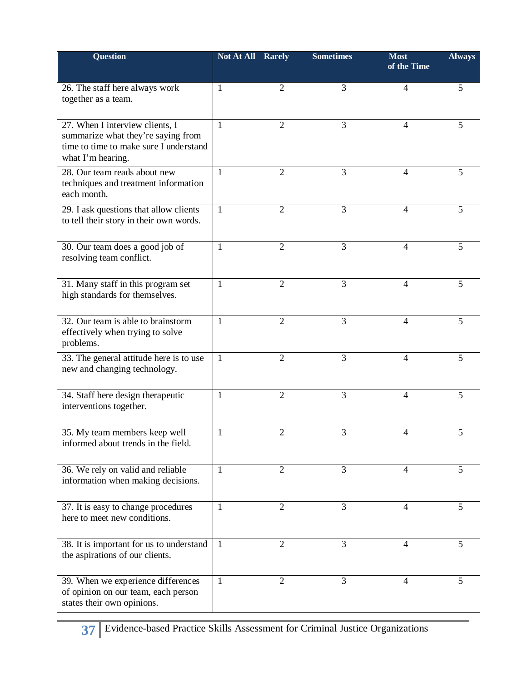| <b>Question</b>                                                                                                                      | Not At All   | Rarely         | <b>Sometimes</b> | <b>Most</b><br>of the Time | <b>Always</b> |
|--------------------------------------------------------------------------------------------------------------------------------------|--------------|----------------|------------------|----------------------------|---------------|
| 26. The staff here always work<br>together as a team.                                                                                | 1            | 2              | 3                | 4                          | 5             |
| 27. When I interview clients, I<br>summarize what they're saying from<br>time to time to make sure I understand<br>what I'm hearing. | 1            | $\overline{2}$ | 3                | 4                          | 5             |
| 28. Our team reads about new<br>techniques and treatment information<br>each month.                                                  | $\mathbf{1}$ | $\overline{2}$ | 3                | $\overline{4}$             | 5             |
| 29. I ask questions that allow clients<br>to tell their story in their own words.                                                    | 1            | 2              | 3                | 4                          | 5             |
| 30. Our team does a good job of<br>resolving team conflict.                                                                          | 1            | $\overline{2}$ | 3                | 4                          | 5             |
| 31. Many staff in this program set<br>high standards for themselves.                                                                 | 1            | $\overline{2}$ | 3                | 4                          | 5             |
| 32. Our team is able to brainstorm<br>effectively when trying to solve<br>problems.                                                  | 1            | $\overline{2}$ | 3                | 4                          | 5             |
| 33. The general attitude here is to use<br>new and changing technology.                                                              | $\mathbf{1}$ | $\overline{2}$ | 3                | 4                          | 5             |
| 34. Staff here design therapeutic<br>interventions together.                                                                         | 1            | $\overline{2}$ | 3                | 4                          | 5             |
| 35. My team members keep well<br>informed about trends in the field.                                                                 | $\mathbf{1}$ | $\overline{2}$ | 3                | 4                          | 5             |
| 36. We rely on valid and reliable<br>information when making decisions.                                                              | 1            | 2              | 3                | 4                          | 5             |
| 37. It is easy to change procedures<br>here to meet new conditions.                                                                  | 1            | 2              | 3                | 4                          | 5             |
| 38. It is important for us to understand<br>the aspirations of our clients.                                                          | $\mathbf{1}$ | 2              | 3                | 4                          | 5             |
| 39. When we experience differences<br>of opinion on our team, each person<br>states their own opinions.                              | 1            | 2              | 3                | 4                          | 5             |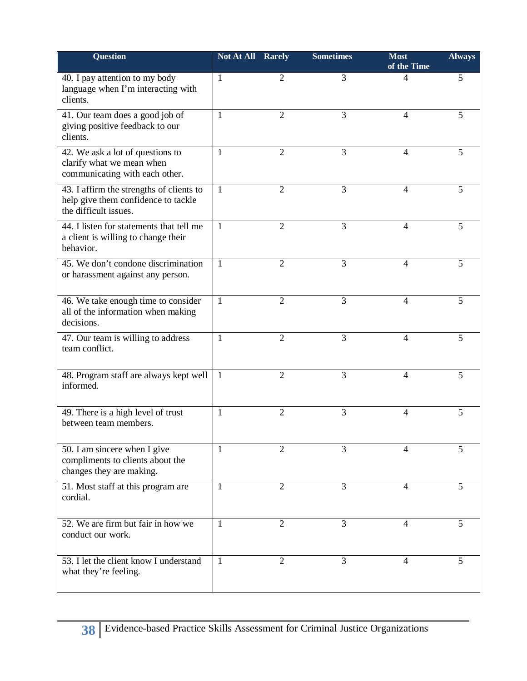| <b>Question</b>                                                                                          | <b>Not At All Rarely</b> |                | <b>Sometimes</b> | <b>Most</b><br>of the Time | <b>Always</b> |
|----------------------------------------------------------------------------------------------------------|--------------------------|----------------|------------------|----------------------------|---------------|
| 40. I pay attention to my body<br>language when I'm interacting with<br>clients.                         | $\mathbf{1}$             | $\overline{2}$ | 3                | 4                          | 5             |
| 41. Our team does a good job of<br>giving positive feedback to our<br>clients.                           | $\mathbf{1}$             | $\overline{2}$ | 3                | $\overline{4}$             | 5             |
| 42. We ask a lot of questions to<br>clarify what we mean when<br>communicating with each other.          | 1                        | 2              | 3                | 4                          | 5             |
| 43. I affirm the strengths of clients to<br>help give them confidence to tackle<br>the difficult issues. | 1                        | $\overline{2}$ | 3                | $\overline{4}$             | 5             |
| 44. I listen for statements that tell me<br>a client is willing to change their<br>behavior.             | $\mathbf{1}$             | 2              | 3                | 4                          | 5             |
| 45. We don't condone discrimination<br>or harassment against any person.                                 | $\overline{1}$           | $\overline{2}$ | 3                | 4                          | 5             |
| 46. We take enough time to consider<br>all of the information when making<br>decisions.                  | $\mathbf{1}$             | $\overline{2}$ | 3                | $\overline{4}$             | 5             |
| 47. Our team is willing to address<br>team conflict.                                                     | 1                        | $\overline{2}$ | 3                | $\overline{4}$             | 5             |
| 48. Program staff are always kept well<br>informed.                                                      | -1                       | $\overline{2}$ | 3                | $\overline{4}$             | 5             |
| 49. There is a high level of trust<br>between team members.                                              | 1                        | $\overline{2}$ | 3                | 4                          | 5             |
| 50. I am sincere when I give<br>compliments to clients about the<br>changes they are making.             | $\mathbf{1}$             | $\overline{2}$ | 3                | $\overline{4}$             | 5             |
| 51. Most staff at this program are<br>cordial.                                                           | $\mathbf{1}$             | 2              | 3                | 4                          | 5             |
| 52. We are firm but fair in how we<br>conduct our work.                                                  | 1                        | 2              | 3                | 4                          | 5             |
| 53. I let the client know I understand<br>what they're feeling.                                          | $\mathbf{1}$             | $\overline{2}$ | 3                | 4                          | 5             |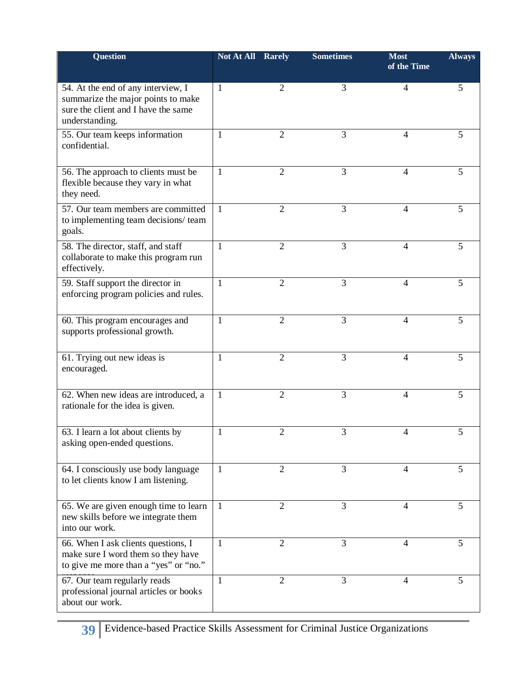| Question                                                                                                                          | Not At All   | Rarely         | <b>Sometimes</b> | <b>Most</b><br>of the Time | <b>Always</b> |
|-----------------------------------------------------------------------------------------------------------------------------------|--------------|----------------|------------------|----------------------------|---------------|
| 54. At the end of any interview, I<br>summarize the major points to make<br>sure the client and I have the same<br>understanding. | 1            | 2              | 3                | 4                          | 5             |
| 55. Our team keeps information<br>confidential.                                                                                   | 1            | 2              | 3                | 4                          | 5             |
| 56. The approach to clients must be<br>flexible because they vary in what<br>they need.                                           | $\mathbf{1}$ | $\overline{2}$ | 3                | 4                          | 5             |
| 57. Our team members are committed<br>to implementing team decisions/ team<br>goals.                                              | 1            | $\overline{2}$ | 3                | 4                          | 5             |
| 58. The director, staff, and staff<br>collaborate to make this program run<br>effectively.                                        | $\mathbf{1}$ | $\overline{2}$ | 3                | $\overline{4}$             | 5             |
| 59. Staff support the director in<br>enforcing program policies and rules.                                                        | 1            | $\overline{2}$ | 3                | 4                          | 5             |
| 60. This program encourages and<br>supports professional growth.                                                                  | 1            | $\overline{2}$ | 3                | 4                          | 5             |
| 61. Trying out new ideas is<br>encouraged.                                                                                        | 1            | $\overline{2}$ | 3                | 4                          | 5             |
| 62. When new ideas are introduced, a<br>rationale for the idea is given.                                                          | 1            | $\overline{2}$ | 3                | 4                          | 5             |
| 63. I learn a lot about clients by<br>asking open-ended questions.                                                                | 1            | 2              | 3                | 4                          | 5             |
| 64. I consciously use body language<br>to let clients know I am listening.                                                        | $\mathbf{1}$ | $\overline{2}$ | 3                | 4                          | 5             |
| 65. We are given enough time to learn<br>new skills before we integrate them<br>into our work.                                    | -1           | 2              | 3                | 4                          | 5             |
| 66. When I ask clients questions, I<br>make sure I word them so they have<br>to give me more than a "yes" or "no."                | $\mathbf{1}$ | $\overline{2}$ | 3                | 4                          | 5             |
| 67. Our team regularly reads<br>professional journal articles or books<br>about our work.                                         | $\mathbf{1}$ | 2              | 3                | 4                          | 5             |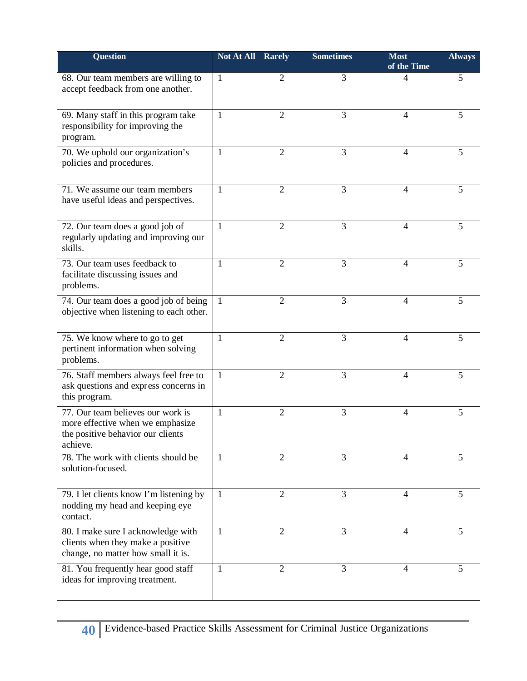| <b>Question</b>                                                                                                        | <b>Not At All Rarely</b> |                | <b>Sometimes</b> | <b>Most</b><br>of the Time | <b>Always</b> |
|------------------------------------------------------------------------------------------------------------------------|--------------------------|----------------|------------------|----------------------------|---------------|
| 68. Our team members are willing to<br>accept feedback from one another.                                               | $\mathbf{1}$             | 2              | 3                | 4                          | 5             |
| 69. Many staff in this program take<br>responsibility for improving the<br>program.                                    | 1                        | 2              | 3                | $\overline{4}$             | 5             |
| 70. We uphold our organization's<br>policies and procedures.                                                           | 1                        | $\overline{2}$ | 3                | 4                          | 5             |
| 71. We assume our team members<br>have useful ideas and perspectives.                                                  | 1                        | $\overline{2}$ | 3                | 4                          | 5             |
| 72. Our team does a good job of<br>regularly updating and improving our<br>skills.                                     | 1                        | 2              | 3                | 4                          | 5             |
| 73. Our team uses feedback to<br>facilitate discussing issues and<br>problems.                                         | 1                        | $\overline{2}$ | 3                | 4                          | 5             |
| 74. Our team does a good job of being<br>objective when listening to each other.                                       | 1                        | $\overline{2}$ | 3                | $\overline{4}$             | 5             |
| 75. We know where to go to get<br>pertinent information when solving<br>problems.                                      | 1                        | $\overline{2}$ | 3                | $\overline{4}$             | 5             |
| 76. Staff members always feel free to<br>ask questions and express concerns in<br>this program.                        | 1                        | $\overline{2}$ | 3                | 4                          | 5             |
| 77. Our team believes our work is<br>more effective when we emphasize<br>the positive behavior our clients<br>achieve. | $\mathbf{1}$             | $\overline{2}$ | 3                | 4                          | 5             |
| 78. The work with clients should be<br>solution-focused.                                                               | -1                       | $\overline{2}$ | 3                | 4                          | 5             |
| 79. I let clients know I'm listening by<br>nodding my head and keeping eye<br>contact.                                 | $\mathbf{1}$             | 2              | 3                | 4                          | 5             |
| 80. I make sure I acknowledge with<br>clients when they make a positive<br>change, no matter how small it is.          | 1                        | 2              | 3                | 4                          | 5             |
| 81. You frequently hear good staff<br>ideas for improving treatment.                                                   | 1                        | $\overline{2}$ | 3                | 4                          | 5             |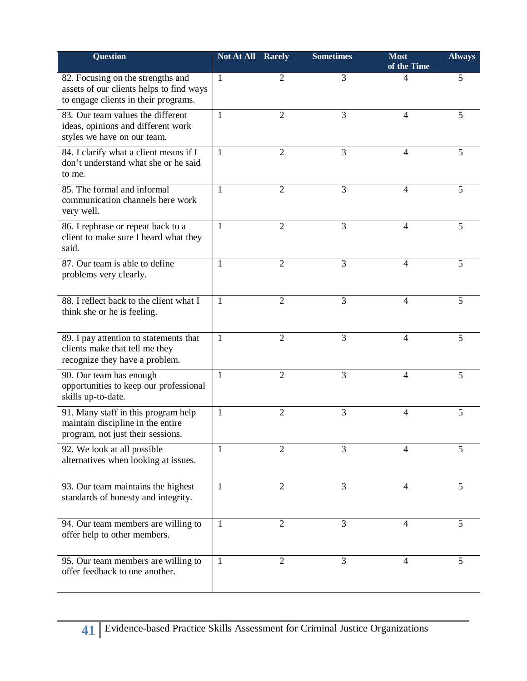| <b>Question</b>                                                                                                       | <b>Not At All Rarely</b> |                | <b>Sometimes</b> | <b>Most</b><br>of the Time | <b>Always</b> |
|-----------------------------------------------------------------------------------------------------------------------|--------------------------|----------------|------------------|----------------------------|---------------|
| 82. Focusing on the strengths and<br>assets of our clients helps to find ways<br>to engage clients in their programs. | $\overline{1}$           | $\overline{2}$ | 3                | 4                          | 5             |
| 83. Our team values the different<br>ideas, opinions and different work<br>styles we have on our team.                | 1                        | $\overline{2}$ | 3                | $\overline{4}$             | 5             |
| 84. I clarify what a client means if I<br>don't understand what she or he said<br>to me.                              | 1                        | 2              | 3                | 4                          | 5             |
| 85. The formal and informal<br>communication channels here work<br>very well.                                         | 1                        | $\overline{2}$ | 3                | 4                          | 5             |
| 86. I rephrase or repeat back to a<br>client to make sure I heard what they<br>said.                                  | $\mathbf{1}$             | 2              | 3                | 4                          | 5             |
| 87. Our team is able to define<br>problems very clearly.                                                              | 1                        | 2              | 3                | 4                          | 5             |
| 88. I reflect back to the client what I<br>think she or he is feeling.                                                | 1                        | $\overline{2}$ | 3                | $\overline{4}$             | 5             |
| 89. I pay attention to statements that<br>clients make that tell me they<br>recognize they have a problem.            | 1                        | 2              | 3                | $\overline{4}$             | 5             |
| 90. Our team has enough<br>opportunities to keep our professional<br>skills up-to-date.                               | 1                        | $\overline{2}$ | 3                | 4                          | 5             |
| 91. Many staff in this program help<br>maintain discipline in the entire<br>program, not just their sessions.         | 1                        | $\overline{2}$ | 3                | 4                          | 5             |
| 92. We look at all possible<br>alternatives when looking at issues.                                                   | -1                       | $\overline{2}$ | 3                | 4                          | 5             |
| 93. Our team maintains the highest<br>standards of honesty and integrity.                                             | $\mathbf{1}$             | 2              | 3                | 4                          | 5             |
| 94. Our team members are willing to<br>offer help to other members.                                                   | 1                        | 2              | 3                | 4                          | 5             |
| 95. Our team members are willing to<br>offer feedback to one another.                                                 | $\mathbf{1}$             | 2              | 3                | 4                          | 5             |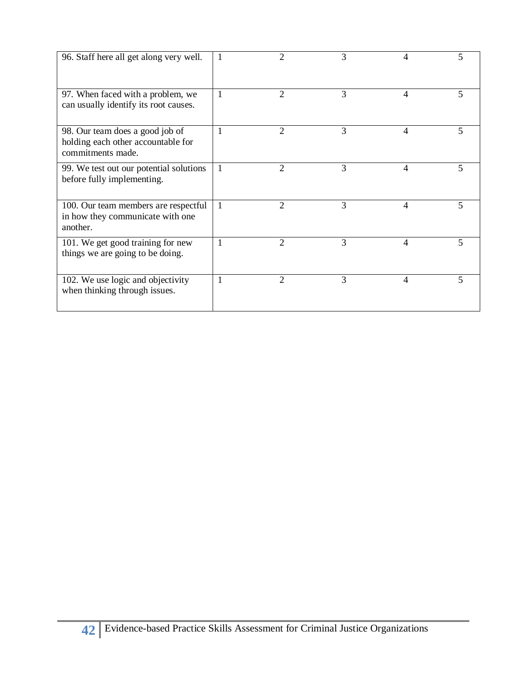| 96. Staff here all get along very well.                                                    |   | 2              | 3 | 4 | 5  |
|--------------------------------------------------------------------------------------------|---|----------------|---|---|----|
| 97. When faced with a problem, we<br>can usually identify its root causes.                 |   | 2              | 3 | 4 | 5. |
| 98. Our team does a good job of<br>holding each other accountable for<br>commitments made. |   | $\mathfrak{D}$ | 3 | 4 | 5  |
| 99. We test out our potential solutions<br>before fully implementing.                      | 1 | 2              | 3 | 4 | 5  |
| 100. Our team members are respectful<br>in how they communicate with one<br>another.       |   | $\mathfrak{D}$ | 3 | 4 | 5  |
| 101. We get good training for new<br>things we are going to be doing.                      |   | $\overline{2}$ | 3 | 4 | 5  |
| 102. We use logic and objectivity<br>when thinking through issues.                         | 1 | 2              | 3 | 4 | 5  |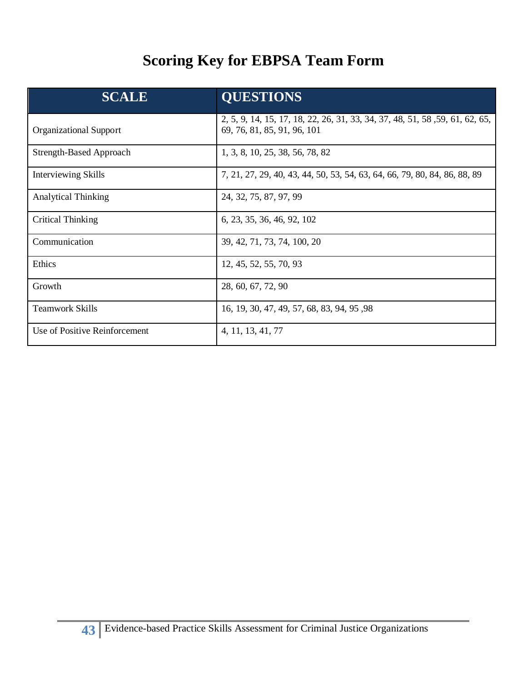## **Scoring Key for EBPSA Team Form**

| <b>SCALE</b>                  | <b>QUESTIONS</b>                                                                                            |
|-------------------------------|-------------------------------------------------------------------------------------------------------------|
| <b>Organizational Support</b> | 2, 5, 9, 14, 15, 17, 18, 22, 26, 31, 33, 34, 37, 48, 51, 58, 59, 61, 62, 65,<br>69, 76, 81, 85, 91, 96, 101 |
| Strength-Based Approach       | 1, 3, 8, 10, 25, 38, 56, 78, 82                                                                             |
| <b>Interviewing Skills</b>    | 7, 21, 27, 29, 40, 43, 44, 50, 53, 54, 63, 64, 66, 79, 80, 84, 86, 88, 89                                   |
| <b>Analytical Thinking</b>    | 24, 32, 75, 87, 97, 99                                                                                      |
| <b>Critical Thinking</b>      | 6, 23, 35, 36, 46, 92, 102                                                                                  |
| Communication                 | 39, 42, 71, 73, 74, 100, 20                                                                                 |
| Ethics                        | 12, 45, 52, 55, 70, 93                                                                                      |
| Growth                        | 28, 60, 67, 72, 90                                                                                          |
| <b>Teamwork Skills</b>        | 16, 19, 30, 47, 49, 57, 68, 83, 94, 95, 98                                                                  |
| Use of Positive Reinforcement | 4, 11, 13, 41, 77                                                                                           |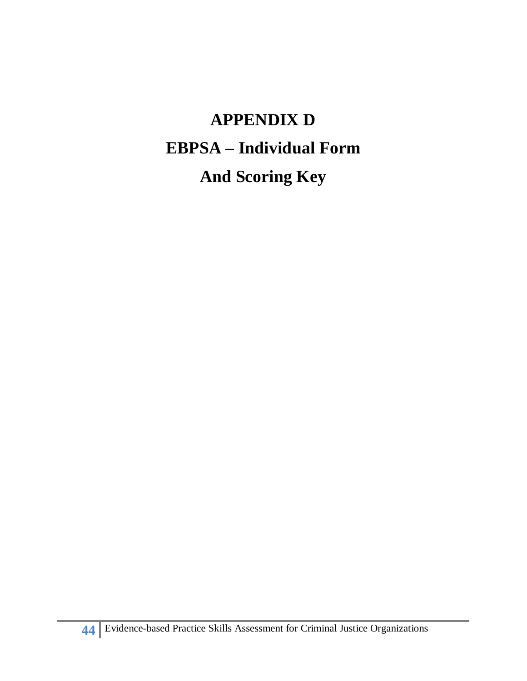# **APPENDIX D EBPSA – Individual Form And Scoring Key**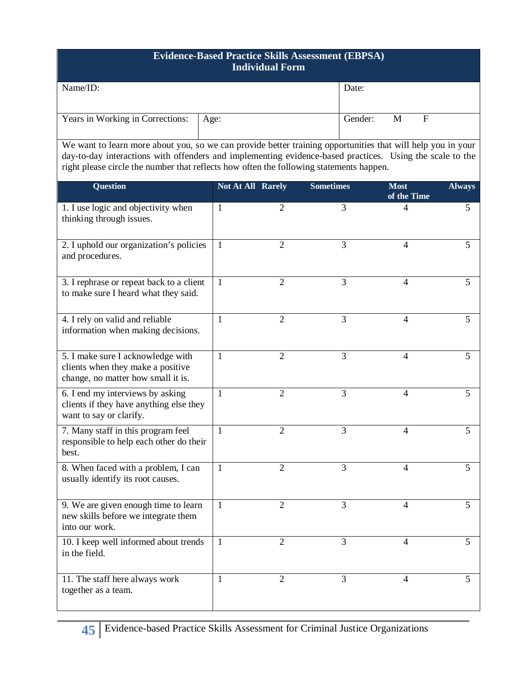### **Evidence-Based Practice Skills Assessment (EBPSA) Individual Form**

| Name/ID:                                | Date:   |   |   |
|-----------------------------------------|---------|---|---|
|                                         |         |   |   |
|                                         |         |   |   |
| Years in Working in Corrections:   Age: | Gender: | M | F |
|                                         |         |   |   |

 We want to learn more about you, so we can provide better training opportunities that will help you in your day-to-day interactions with offenders and implementing evidence-based practices. Using the scale to the right please circle the number that reflects how often the following statements happen.

| <b>Question</b>                                                                                              | <b>Not At All Rarely</b> |                | <b>Sometimes</b> | <b>Most</b><br>of the Time | <b>Always</b>  |
|--------------------------------------------------------------------------------------------------------------|--------------------------|----------------|------------------|----------------------------|----------------|
| 1. I use logic and objectivity when<br>thinking through issues.                                              | 1                        | 2              | 3                | 4                          | 5              |
| 2. I uphold our organization's policies<br>and procedures.                                                   | 1                        | $\overline{2}$ | 3                | 4                          | 5              |
| 3. I rephrase or repeat back to a client<br>to make sure I heard what they said.                             | 1                        | 2              | 3                | 4                          | 5              |
| 4. I rely on valid and reliable<br>information when making decisions.                                        | $\mathbf{1}$             | 2              | 3                | 4                          | 5              |
| 5. I make sure I acknowledge with<br>clients when they make a positive<br>change, no matter how small it is. | $\mathbf{1}$             | $\overline{2}$ | 3                | $\overline{4}$             | 5              |
| 6. I end my interviews by asking<br>clients if they have anything else they<br>want to say or clarify.       | 1                        | $\overline{2}$ | 3                | $\overline{\mathcal{L}}$   | 5              |
| 7. Many staff in this program feel<br>responsible to help each other do their<br>best.                       | 1                        | $\overline{2}$ | 3                | 4                          | 5              |
| 8. When faced with a problem, I can<br>usually identify its root causes.                                     | $\mathbf{1}$             | $\overline{2}$ | $\overline{3}$   | $\overline{4}$             | $\overline{5}$ |
| 9. We are given enough time to learn<br>new skills before we integrate them<br>into our work.                | 1                        | $\overline{2}$ | 3                | $\overline{4}$             | 5              |
| 10. I keep well informed about trends<br>in the field.                                                       | 1                        | 2              | 3                | 4                          | 5              |
| 11. The staff here always work<br>together as a team.                                                        | 1                        | $\overline{2}$ | 3                | $\overline{4}$             | 5              |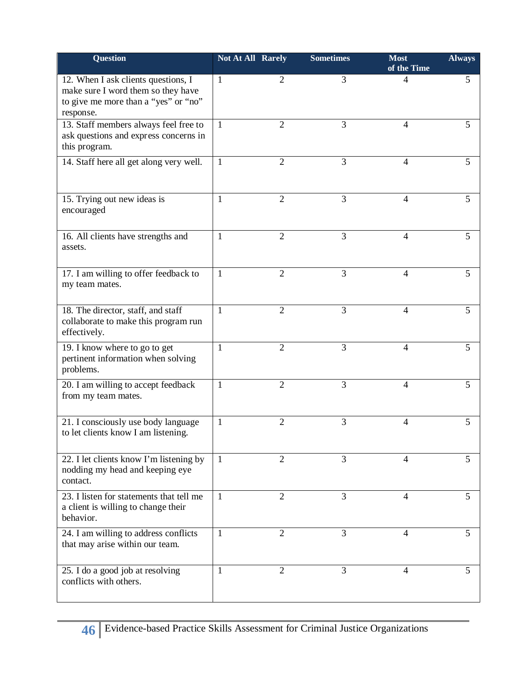| <b>Question</b>                                                                                                                | <b>Not At All Rarely</b> |                | <b>Sometimes</b> | <b>Most</b><br>of the Time | <b>Always</b> |
|--------------------------------------------------------------------------------------------------------------------------------|--------------------------|----------------|------------------|----------------------------|---------------|
| 12. When I ask clients questions, I<br>make sure I word them so they have<br>to give me more than a "yes" or "no"<br>response. | 1                        | $\overline{2}$ | 3                | 4                          | 5             |
| 13. Staff members always feel free to<br>ask questions and express concerns in<br>this program.                                | $\mathbf{1}$             | $\overline{2}$ | 3                | 4                          | 5             |
| 14. Staff here all get along very well.                                                                                        | 1                        | $\overline{2}$ | 3                | 4                          | 5             |
| 15. Trying out new ideas is<br>encouraged                                                                                      | 1                        | $\overline{2}$ | 3                | $\overline{4}$             | 5             |
| 16. All clients have strengths and<br>assets.                                                                                  | 1                        | $\overline{2}$ | 3                | $\overline{4}$             | 5             |
| 17. I am willing to offer feedback to<br>my team mates.                                                                        | 1                        | $\overline{2}$ | 3                | 4                          | 5             |
| 18. The director, staff, and staff<br>collaborate to make this program run<br>effectively.                                     | 1                        | $\overline{2}$ | 3                | $\overline{4}$             | 5             |
| 19. I know where to go to get<br>pertinent information when solving<br>problems.                                               | 1                        | $\overline{2}$ | 3                | 4                          | 5             |
| 20. I am willing to accept feedback<br>from my team mates.                                                                     | 1                        | $\overline{2}$ | 3                | 4                          | 5             |
| 21. I consciously use body language<br>to let clients know I am listening.                                                     | 1                        | $\overline{2}$ | 3                | $\overline{4}$             | 5             |
| 22. I let clients know I'm listening by<br>nodding my head and keeping eye<br>contact.                                         | $\mathbf{1}$             | $\overline{2}$ | 3                | 4                          | 5             |
| 23. I listen for statements that tell me<br>a client is willing to change their<br>behavior.                                   | 1                        | $\overline{2}$ | 3                | 4                          | 5             |
| 24. I am willing to address conflicts<br>that may arise within our team.                                                       | 1                        | 2              | 3                | $\overline{4}$             | 5             |
| 25. I do a good job at resolving<br>conflicts with others.                                                                     | 1                        | $\overline{2}$ | 3                | 4                          | 5             |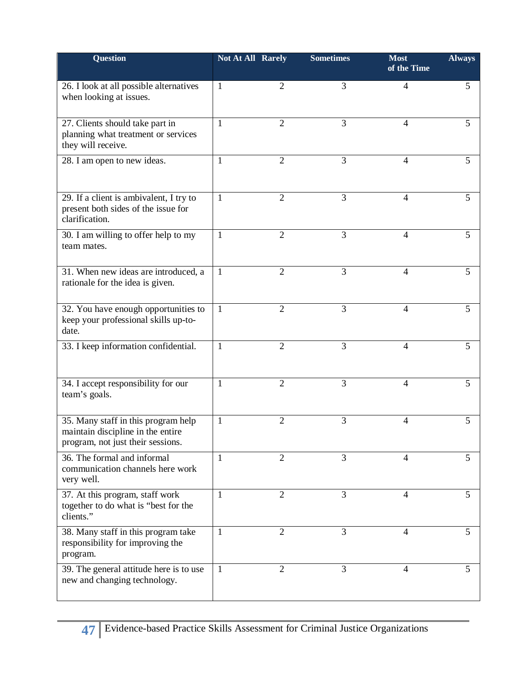| <b>Question</b>                                                                                               | <b>Not At All Rarely</b> |                | <b>Sometimes</b> | <b>Most</b><br>of the Time | <b>Always</b> |
|---------------------------------------------------------------------------------------------------------------|--------------------------|----------------|------------------|----------------------------|---------------|
| 26. I look at all possible alternatives<br>when looking at issues.                                            | 1                        | $\overline{2}$ | 3                | $\overline{4}$             | 5             |
| 27. Clients should take part in<br>planning what treatment or services<br>they will receive.                  | 1                        | $\overline{2}$ | 3                | 4                          | 5             |
| 28. I am open to new ideas.                                                                                   | 1                        | $\overline{2}$ | 3                | 4                          | 5             |
| 29. If a client is ambivalent, I try to<br>present both sides of the issue for<br>clarification.              | 1                        | 2              | 3                | 4                          | 5             |
| 30. I am willing to offer help to my<br>team mates.                                                           | 1                        | $\overline{2}$ | 3                | 4                          | 5             |
| 31. When new ideas are introduced, a<br>rationale for the idea is given.                                      | 1                        | $\overline{2}$ | 3                | 4                          | 5             |
| 32. You have enough opportunities to<br>keep your professional skills up-to-<br>date.                         | $\mathbf{1}$             | $\overline{2}$ | 3                | $\overline{4}$             | 5             |
| 33. I keep information confidential.                                                                          | 1                        | $\overline{2}$ | 3                | 4                          | 5             |
| 34. I accept responsibility for our<br>team's goals.                                                          | 1                        | $\overline{2}$ | 3                | 4                          | 5             |
| 35. Many staff in this program help<br>maintain discipline in the entire<br>program, not just their sessions. | $\mathbf{1}$             | $\overline{2}$ | 3                | $\overline{4}$             | 5             |
| 36. The formal and informal<br>communication channels here work<br>very well.                                 | 1                        | $\overline{2}$ | 3                | 4                          | 5             |
| 37. At this program, staff work<br>together to do what is "best for the<br>clients."                          | $\mathbf{1}$             | $\overline{2}$ | 3                | $\overline{4}$             | 5             |
| 38. Many staff in this program take<br>responsibility for improving the<br>program.                           | 1                        | $\overline{2}$ | 3                | 4                          | 5             |
| 39. The general attitude here is to use<br>new and changing technology.                                       | 1                        | $\overline{2}$ | 3                | 4                          | 5             |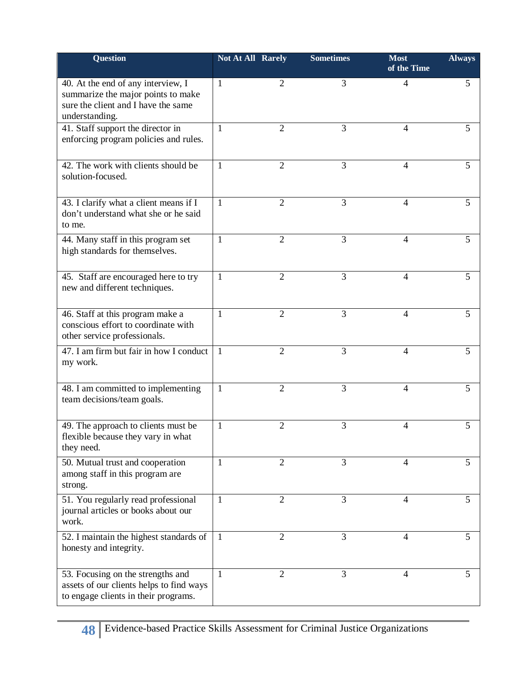| <b>Question</b>                                                                                                                   | <b>Not At All Rarely</b> |                | <b>Sometimes</b> | <b>Most</b><br>of the Time | <b>Always</b> |
|-----------------------------------------------------------------------------------------------------------------------------------|--------------------------|----------------|------------------|----------------------------|---------------|
| 40. At the end of any interview, I<br>summarize the major points to make<br>sure the client and I have the same<br>understanding. | 1                        | 2              | 3                | 4                          | 5             |
| 41. Staff support the director in<br>enforcing program policies and rules.                                                        | 1                        | $\overline{2}$ | 3                | 4                          | 5             |
| 42. The work with clients should be<br>solution-focused.                                                                          | 1                        | 2              | 3                | 4                          | 5             |
| 43. I clarify what a client means if I<br>don't understand what she or he said<br>to me.                                          | 1                        | $\overline{2}$ | 3                | 4                          | 5             |
| 44. Many staff in this program set<br>high standards for themselves.                                                              | 1                        | $\overline{2}$ | 3                | 4                          | 5             |
| 45. Staff are encouraged here to try<br>new and different techniques.                                                             | 1                        | 2              | 3                | 4                          | 5             |
| 46. Staff at this program make a<br>conscious effort to coordinate with<br>other service professionals.                           | $\mathbf{1}$             | $\overline{2}$ | 3                | $\overline{4}$             | 5             |
| 47. I am firm but fair in how I conduct<br>my work.                                                                               | 1                        | 2              | 3                | 4                          | 5             |
| 48. I am committed to implementing<br>team decisions/team goals.                                                                  | $\mathbf{1}$             | $\overline{2}$ | 3                | 4                          | 5             |
| 49. The approach to clients must be<br>flexible because they vary in what<br>they need.                                           | 1                        | $\overline{2}$ | 3                | 4                          | 5             |
| 50. Mutual trust and cooperation<br>among staff in this program are<br>strong.                                                    | 1                        | $\overline{2}$ | 3                | 4                          | 5             |
| 51. You regularly read professional<br>journal articles or books about our<br>work.                                               | 1                        | $\overline{2}$ | 3                | 4                          | 5             |
| 52. I maintain the highest standards of<br>honesty and integrity.                                                                 | 1                        | $\overline{2}$ | 3                | 4                          | 5             |
| 53. Focusing on the strengths and<br>assets of our clients helps to find ways<br>to engage clients in their programs.             | 1                        | $\overline{2}$ | 3                | 4                          | 5             |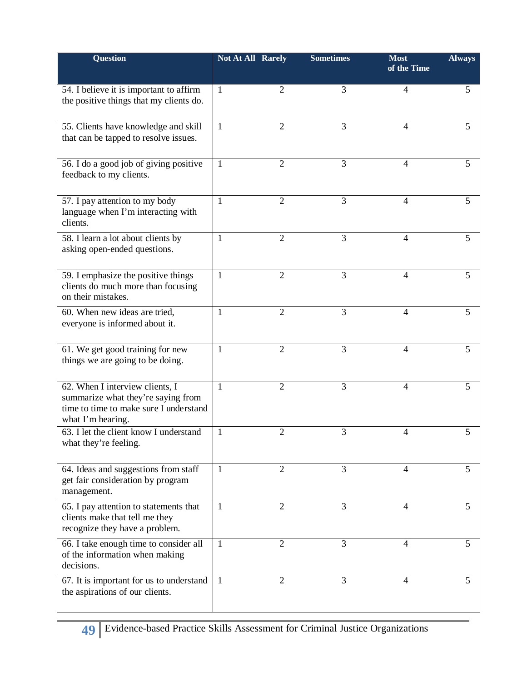| Question                                                                                                                             | <b>Not At All Rarely</b> |                | <b>Sometimes</b> | <b>Most</b><br>of the Time | <b>Always</b> |
|--------------------------------------------------------------------------------------------------------------------------------------|--------------------------|----------------|------------------|----------------------------|---------------|
| 54. I believe it is important to affirm<br>the positive things that my clients do.                                                   | $\mathbf{1}$             | 2              | 3                | 4                          | 5             |
| 55. Clients have knowledge and skill<br>that can be tapped to resolve issues.                                                        | $\mathbf{1}$             | $\overline{2}$ | 3                | 4                          | 5             |
| 56. I do a good job of giving positive<br>feedback to my clients.                                                                    | $\mathbf{1}$             | $\overline{2}$ | 3                | 4                          | 5             |
| 57. I pay attention to my body<br>language when I'm interacting with<br>clients.                                                     | 1                        | $\overline{2}$ | 3                | 4                          | 5             |
| 58. I learn a lot about clients by<br>asking open-ended questions.                                                                   | 1                        | $\overline{2}$ | 3                | 4                          | 5             |
| 59. I emphasize the positive things<br>clients do much more than focusing<br>on their mistakes.                                      | $\mathbf{1}$             | $\overline{2}$ | 3                | 4                          | 5             |
| 60. When new ideas are tried,<br>everyone is informed about it.                                                                      | 1                        | $\overline{2}$ | 3                | 4                          | 5             |
| 61. We get good training for new<br>things we are going to be doing.                                                                 | $\mathbf{1}$             | $\overline{2}$ | 3                | $\overline{4}$             | 5             |
| 62. When I interview clients, I<br>summarize what they're saying from<br>time to time to make sure I understand<br>what I'm hearing. | 1                        | $\overline{2}$ | 3                | 4                          | 5             |
| 63. I let the client know I understand<br>what they're feeling.                                                                      | $\mathbf{1}$             | $\overline{2}$ | 3                | 4                          | 5             |
| 64. Ideas and suggestions from staff<br>get fair consideration by program<br>management.                                             | -1                       | 2              | 3                | 4                          | 5             |
| 65. I pay attention to statements that<br>clients make that tell me they<br>recognize they have a problem.                           | $\mathbf{1}$             | $\overline{2}$ | 3                | 4                          | 5             |
| 66. I take enough time to consider all<br>of the information when making<br>decisions.                                               | $\mathbf{1}$             | $\overline{2}$ | 3                | 4                          | 5             |
| 67. It is important for us to understand<br>the aspirations of our clients.                                                          | -1                       | 2              | 3                | 4                          | 5             |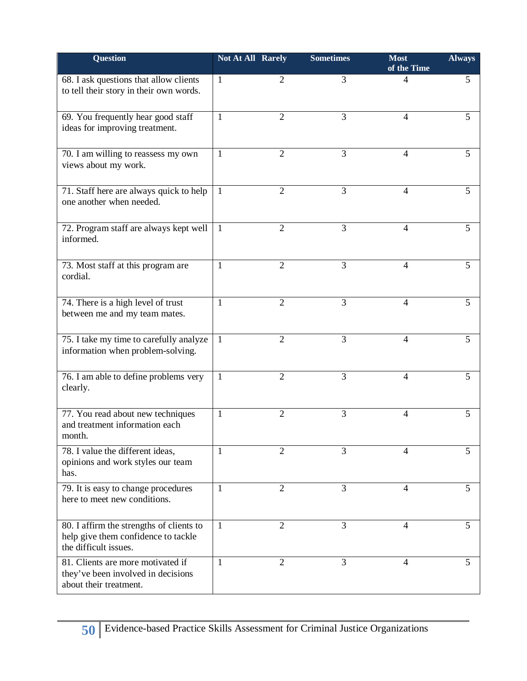| <b>Question</b>                                                                                          | <b>Not At All Rarely</b> |                | <b>Sometimes</b> | <b>Most</b><br>of the Time | <b>Always</b> |
|----------------------------------------------------------------------------------------------------------|--------------------------|----------------|------------------|----------------------------|---------------|
| 68. I ask questions that allow clients<br>to tell their story in their own words.                        | 1                        | 2              | 3                | 4                          | 5             |
| 69. You frequently hear good staff<br>ideas for improving treatment.                                     | 1                        | $\overline{2}$ | 3                | $\overline{4}$             | 5             |
| 70. I am willing to reassess my own<br>views about my work.                                              | 1                        | $\overline{2}$ | 3                | 4                          | 5             |
| 71. Staff here are always quick to help<br>one another when needed.                                      | 1                        | $\overline{2}$ | 3                | $\overline{4}$             | 5             |
| 72. Program staff are always kept well<br>informed.                                                      | 1                        | $\overline{2}$ | 3                | 4                          | 5             |
| 73. Most staff at this program are<br>cordial.                                                           | 1                        | 2              | 3                | 4                          | 5             |
| 74. There is a high level of trust<br>between me and my team mates.                                      | 1                        | $\overline{2}$ | 3                | 4                          | 5             |
| 75. I take my time to carefully analyze<br>information when problem-solving.                             | 1                        | $\overline{2}$ | 3                | $\overline{4}$             | 5             |
| 76. I am able to define problems very<br>clearly.                                                        | 1                        | $\overline{2}$ | 3                | 4                          | 5             |
| 77. You read about new techniques<br>and treatment information each<br>month.                            | 1                        | $\overline{2}$ | 3                | 4                          | 5             |
| 78. I value the different ideas,<br>opinions and work styles our team<br>has.                            | 1                        | 2              | 3                | 4                          | 5             |
| 79. It is easy to change procedures<br>here to meet new conditions.                                      | 1                        | $\overline{2}$ | 3                | 4                          | 5             |
| 80. I affirm the strengths of clients to<br>help give them confidence to tackle<br>the difficult issues. | 1                        | $\overline{2}$ | 3                | 4                          | 5             |
| 81. Clients are more motivated if<br>they've been involved in decisions<br>about their treatment.        | 1                        | $\overline{2}$ | 3                | 4                          | 5             |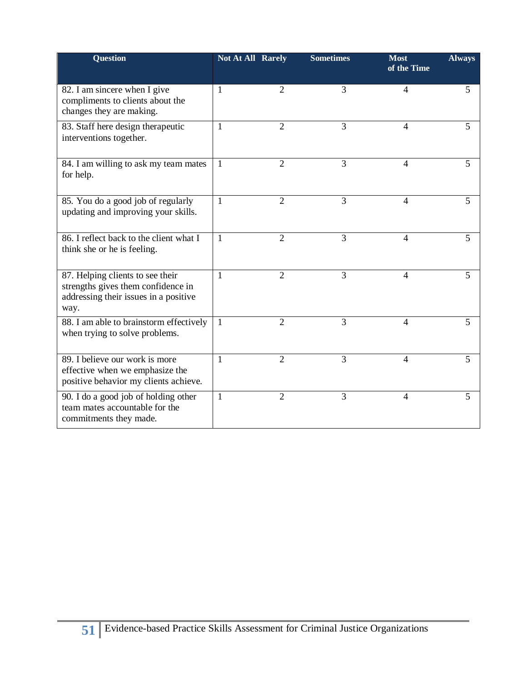| Question                                                                                                                | <b>Not At All Rarely</b> |                | <b>Sometimes</b> | <b>Most</b><br>of the Time | <b>Always</b> |
|-------------------------------------------------------------------------------------------------------------------------|--------------------------|----------------|------------------|----------------------------|---------------|
| 82. I am sincere when I give<br>compliments to clients about the<br>changes they are making.                            | $\overline{1}$           | $\overline{2}$ | 3                | 4                          | 5             |
| 83. Staff here design therapeutic<br>interventions together.                                                            | 1                        | $\overline{2}$ | 3                | 4                          | 5             |
| 84. I am willing to ask my team mates<br>for help.                                                                      | $\mathbf{1}$             | $\overline{2}$ | 3                | $\overline{4}$             | 5             |
| 85. You do a good job of regularly<br>updating and improving your skills.                                               | $\mathbf{1}$             | $\overline{2}$ | 3                | 4                          | 5             |
| 86. I reflect back to the client what I<br>think she or he is feeling.                                                  | 1                        | $\overline{2}$ | 3                | $\overline{4}$             | 5             |
| 87. Helping clients to see their<br>strengths gives them confidence in<br>addressing their issues in a positive<br>way. | 1                        | $\overline{2}$ | 3                | $\overline{4}$             | 5             |
| 88. I am able to brainstorm effectively<br>when trying to solve problems.                                               | $\mathbf{1}$             | $\overline{2}$ | 3                | 4                          | 5             |
| 89. I believe our work is more<br>effective when we emphasize the<br>positive behavior my clients achieve.              | 1                        | $\overline{2}$ | $\overline{3}$   | 4                          | 5             |
| 90. I do a good job of holding other<br>team mates accountable for the<br>commitments they made.                        | $\mathbf{1}$             | $\overline{2}$ | 3                | $\overline{4}$             | 5             |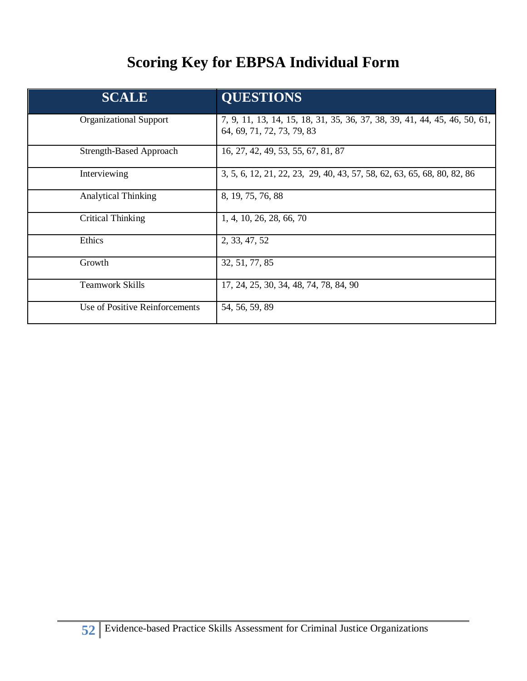## **Scoring Key for EBPSA Individual Form**

| <b>SCALE</b>                   | <b>QUESTIONS</b>                                                                                        |
|--------------------------------|---------------------------------------------------------------------------------------------------------|
| <b>Organizational Support</b>  | 7, 9, 11, 13, 14, 15, 18, 31, 35, 36, 37, 38, 39, 41, 44, 45, 46, 50, 61,<br>64, 69, 71, 72, 73, 79, 83 |
| <b>Strength-Based Approach</b> | 16, 27, 42, 49, 53, 55, 67, 81, 87                                                                      |
| Interviewing                   | 3, 5, 6, 12, 21, 22, 23, 29, 40, 43, 57, 58, 62, 63, 65, 68, 80, 82, 86                                 |
| <b>Analytical Thinking</b>     | 8, 19, 75, 76, 88                                                                                       |
| Critical Thinking              | 1, 4, 10, 26, 28, 66, 70                                                                                |
| Ethics                         | 2, 33, 47, 52                                                                                           |
| Growth                         | 32, 51, 77, 85                                                                                          |
| <b>Teamwork Skills</b>         | 17, 24, 25, 30, 34, 48, 74, 78, 84, 90                                                                  |
| Use of Positive Reinforcements | 54, 56, 59, 89                                                                                          |